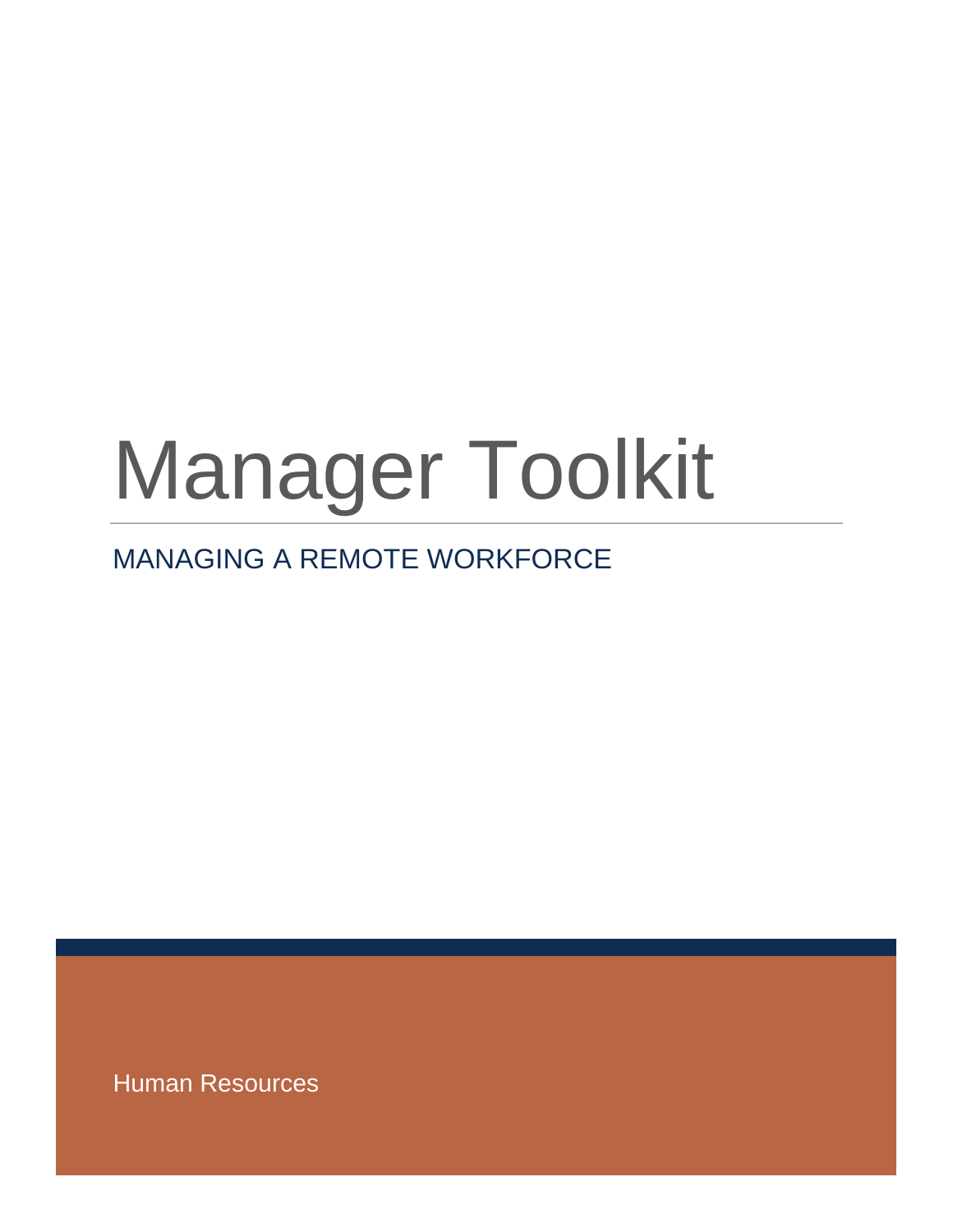# Manager Toolkit

# MANAGING A REMOTE WORKFORCE

Human Resources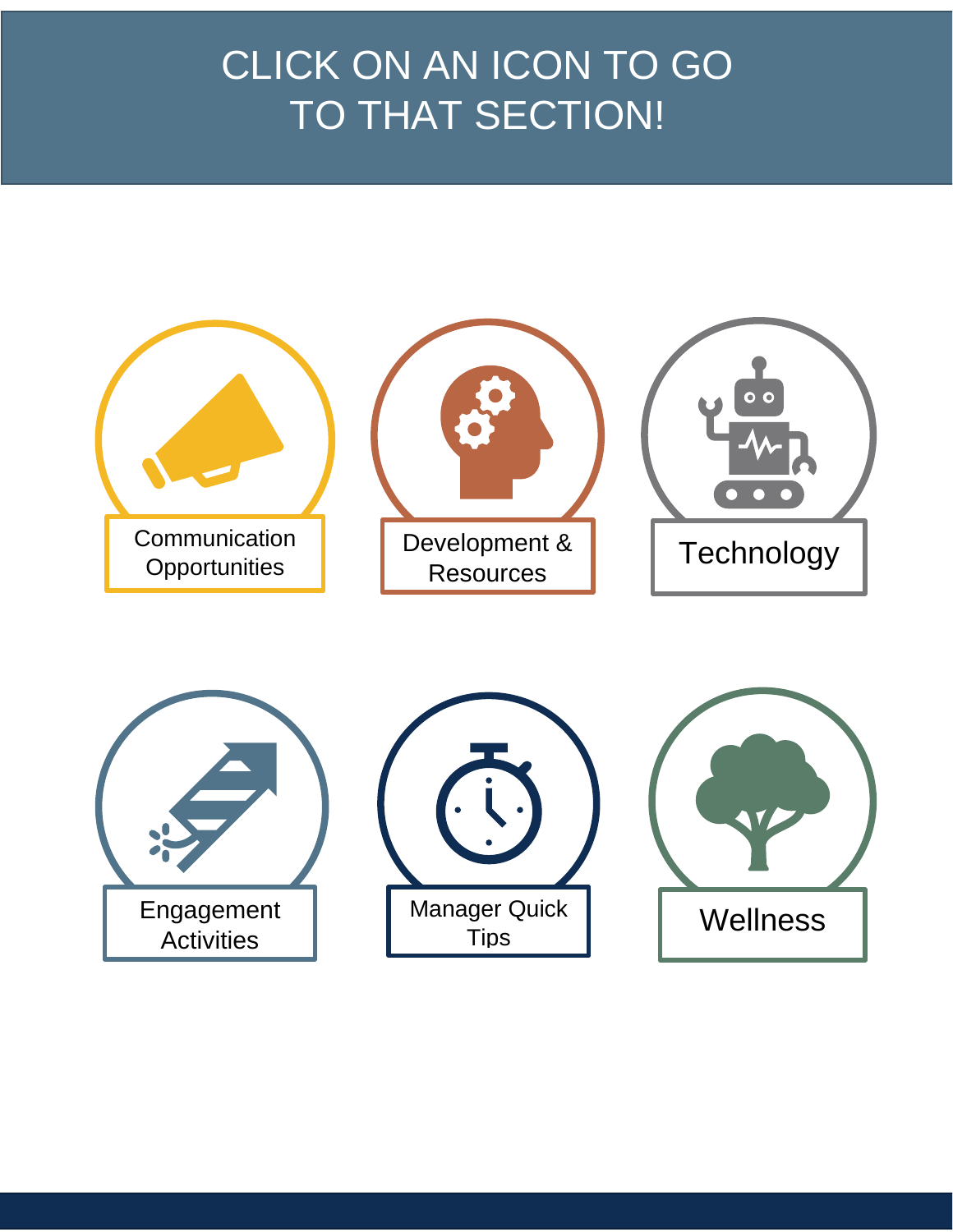# CLICK ON AN ICON TO GO TO THAT SECTION!

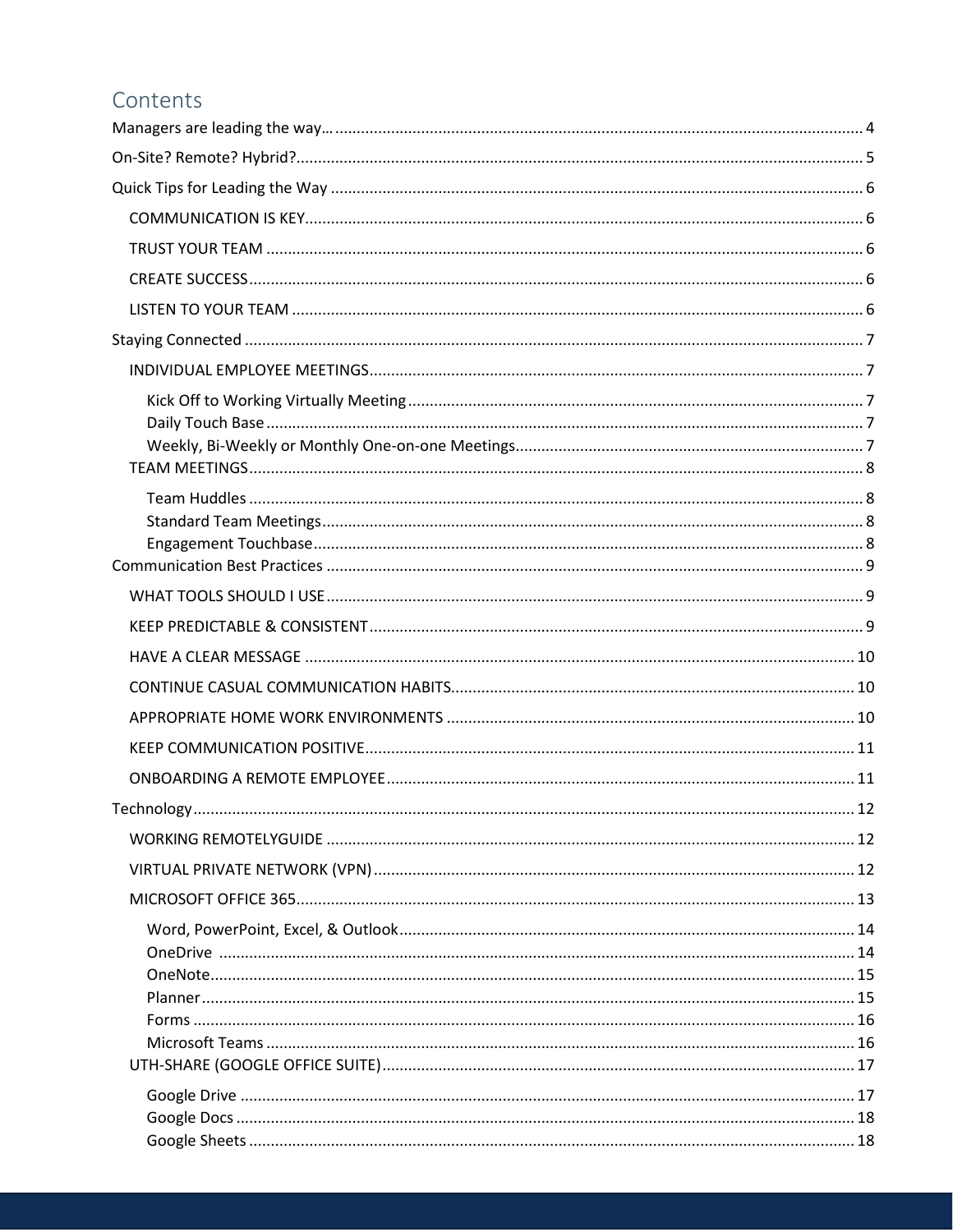#### Contents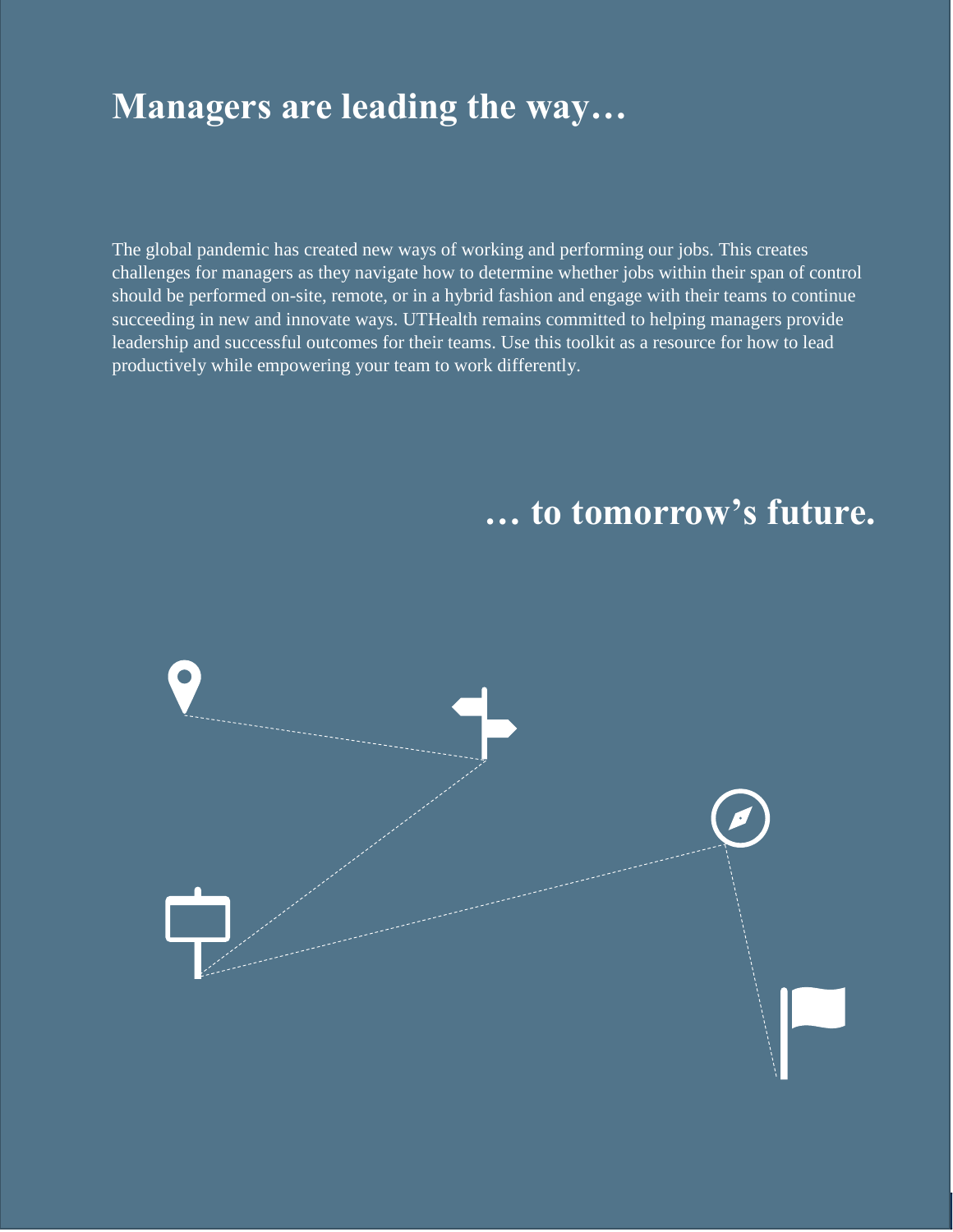# <span id="page-4-0"></span>**Managers are leading the way…**

The global pandemic has created new ways of working and performing our jobs. This creates challenges for managers as they navigate how to determine whether jobs within their span of control should be performed on-site, remote, or in a hybrid fashion and engage with their teams to continue succeeding in new and innovate ways. UTHealth remains committed to helping managers provide leadership and successful outcomes for their teams. Use this toolkit as a resource for how to lead productively while empowering your team to work differently.

# **… to tomorrow's future.**

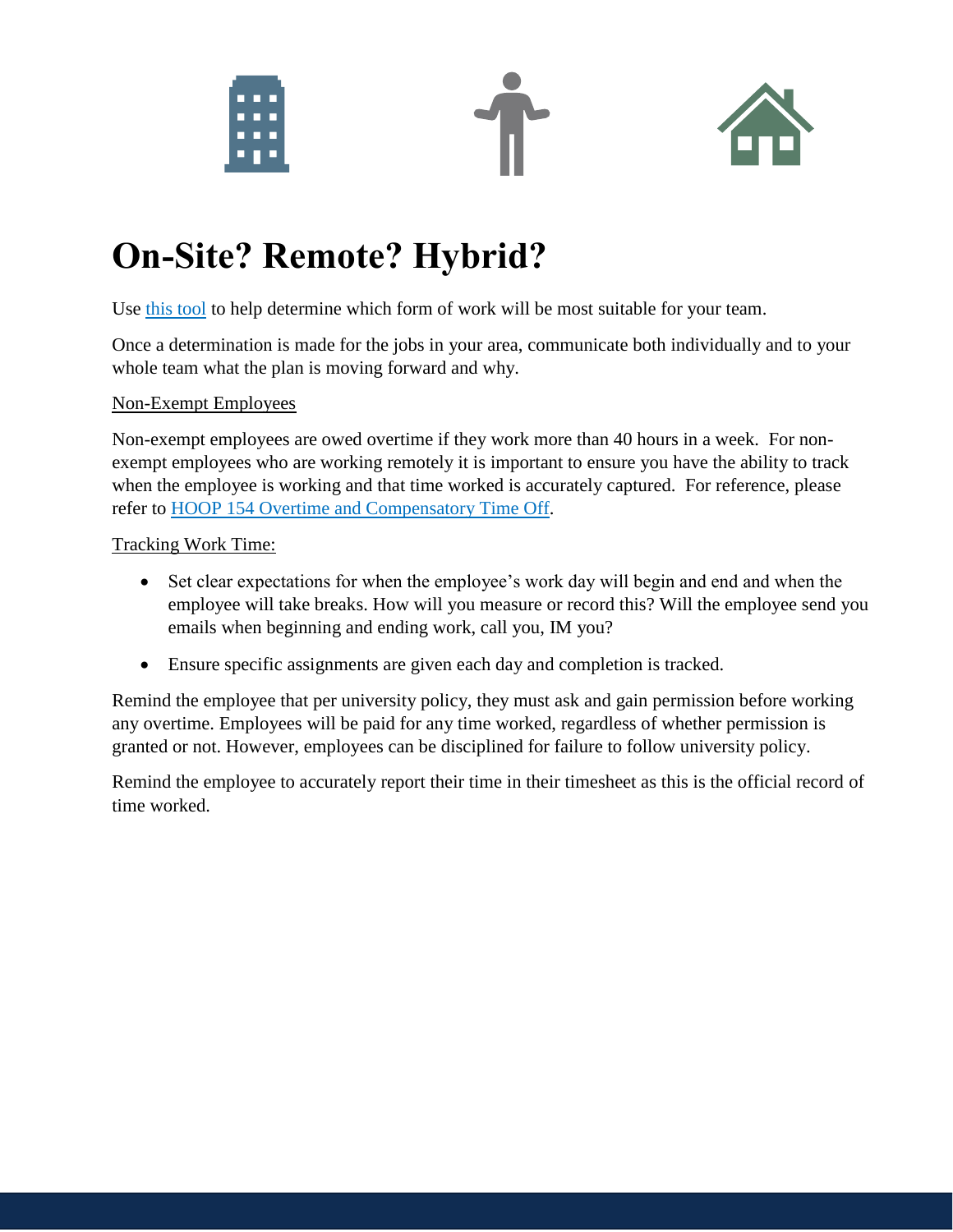





# <span id="page-5-1"></span>**On-Site? Remote? Hybrid?**

Use [this tool](https://uthtmc.az1.qualtrics.com/jfe/form/SV_cFRMoZV0oPlUmHk) to help determine which form of work will be most suitable for your team.

Once a determination is made for the jobs in your area, communicate both individually and to your whole team what the plan is moving forward and why.

#### Non-Exempt Employees

Non-exempt employees are owed overtime if they work more than 40 hours in a week. For nonexempt employees who are working remotely it is important to ensure you have the ability to track when the employee is working and that time worked is accurately captured. For reference, please refer to [HOOP 154 Overtime and Compensatory Time Off.](https://www.uth.edu/hoop/policy.htm?id=1448156)

#### Tracking Work Time:

- Set clear expectations for when the employee's work day will begin and end and when the employee will take breaks. How will you measure or record this? Will the employee send you emails when beginning and ending work, call you, IM you?
- Ensure specific assignments are given each day and completion is tracked.

Remind the employee that per university policy, they must ask and gain permission before working any overtime. Employees will be paid for any time worked, regardless of whether permission is granted or not. However, employees can be disciplined for failure to follow university policy.

<span id="page-5-0"></span>Remind the employee to accurately report their time in their timesheet as this is the official record of time worked.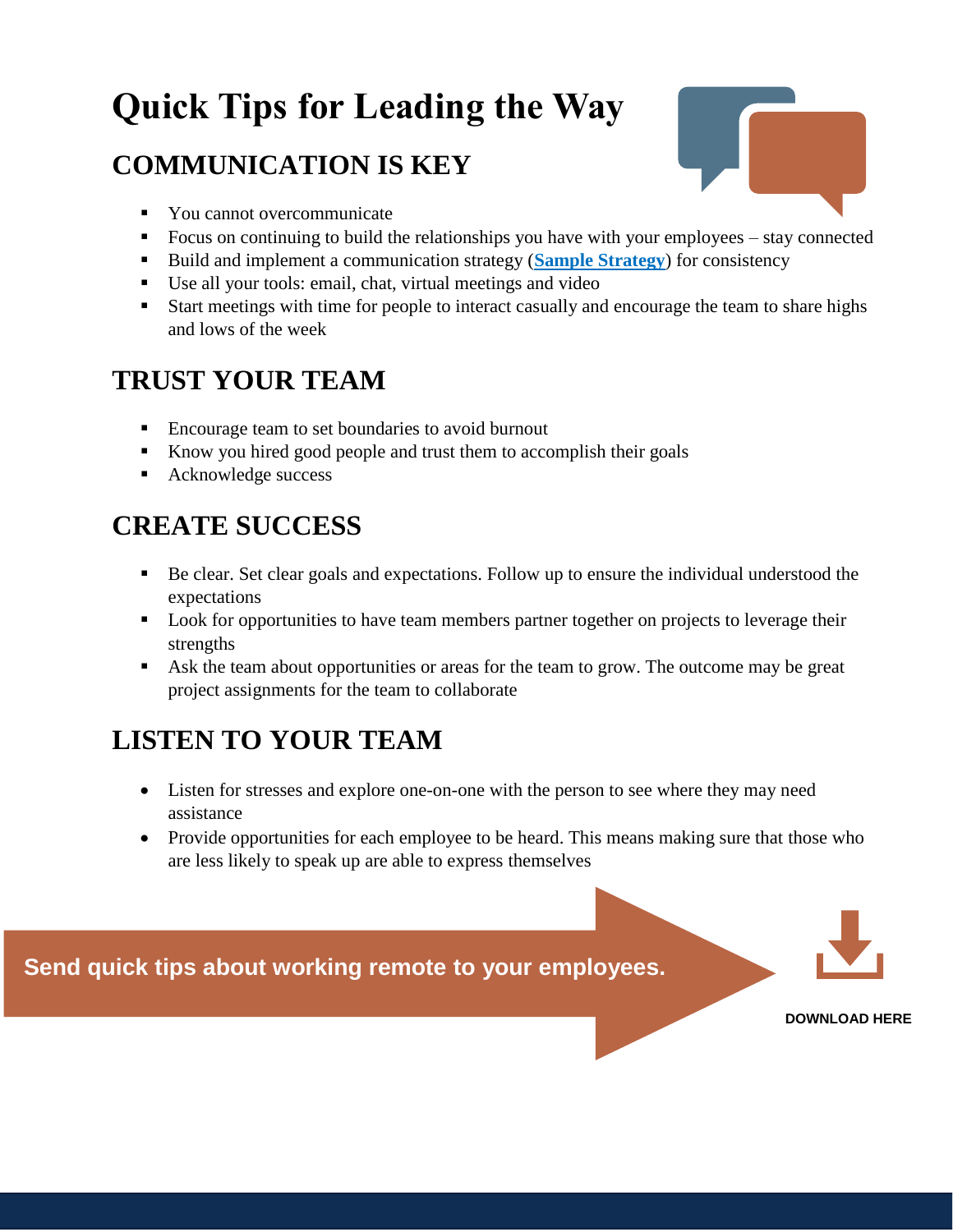# <span id="page-6-0"></span>**Quick Tips for Leading the Way**

# <span id="page-6-1"></span>**COMMUNICATION IS KEY**



- You cannot overcommunicate
- Focus on continuing to build the relationships you have with your employees stay connected
- Build and implement a communication strategy (**[Sample Strategy](https://inside.uth.edu/hr/manager-resources/manager-toolkit/SAMPLE%2BCOMMUNICATION%2BSTRATEGY.docx)**) for consistency
- Use all your tools: email, chat, virtual meetings and video
- Start meetings with time for people to interact casually and encourage the team to share highs and lows of the week

# <span id="page-6-2"></span>**TRUST YOUR TEAM**

- Encourage team to set boundaries to avoid burnout
- Know you hired good people and trust them to accomplish their goals
- Acknowledge success

# <span id="page-6-3"></span>**CREATE SUCCESS**

- Be clear. Set clear goals and expectations. Follow up to ensure the individual understood the expectations
- Look for opportunities to have team members partner together on projects to leverage their strengths
- Ask the team about opportunities or areas for the team to grow. The outcome may be great project assignments for the team to collaborate

# <span id="page-6-4"></span>**LISTEN TO YOUR TEAM**

- Listen for stresses and explore one-on-one with the person to see where they may need assistance
- Provide opportunities for each employee to be heard. This means making sure that those who are less likely to speak up are able to express themselves

**Send quick tips about working remote to your employees.**



**[DOWNLOAD HERE](https://inside.uth.edu/hr/manager-resources/manager-toolkit/Employee%2BQuick%2BTips%2Bfor%2Ba%2BSuccessfull%2BVirutal%2BWork%2BExperience%2Bduring%2BCOVID-19.docx)**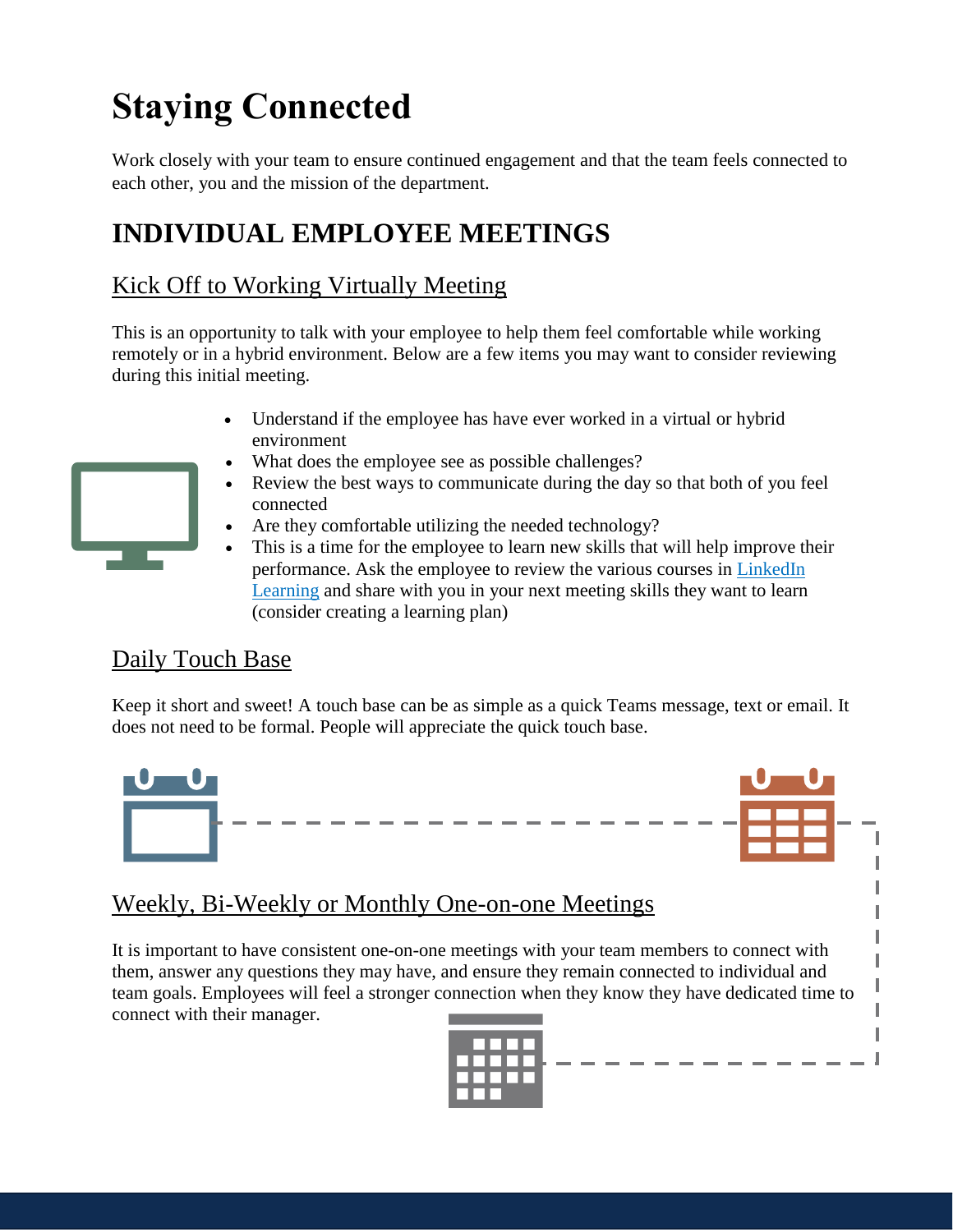# <span id="page-7-0"></span>**Staying Connected**

Work closely with your team to ensure continued engagement and that the team feels connected to each other, you and the mission of the department.

# <span id="page-7-1"></span>**INDIVIDUAL EMPLOYEE MEETINGS**

### <span id="page-7-2"></span>Kick Off to Working Virtually Meeting

This is an opportunity to talk with your employee to help them feel comfortable while working remotely or in a hybrid environment. Below are a few items you may want to consider reviewing during this initial meeting.

- Understand if the employee has have ever worked in a virtual or hybrid environment
- What does the employee see as possible challenges?
- Review the best ways to communicate during the day so that both of you feel connected
- Are they comfortable utilizing the needed technology?
- This is a time for the employee to learn new skills that will help improve their performance. Ask the employee to review the various courses in [LinkedIn](https://go.uth.edu/linkedinlearning)  [Learning](https://go.uth.edu/linkedinlearning) and share with you in your next meeting skills they want to learn (consider creating a learning plan)

#### <span id="page-7-3"></span>Daily Touch Base

Keep it short and sweet! A touch base can be as simple as a quick Teams message, text or email. It does not need to be formal. People will appreciate the quick touch base.

<span id="page-7-4"></span>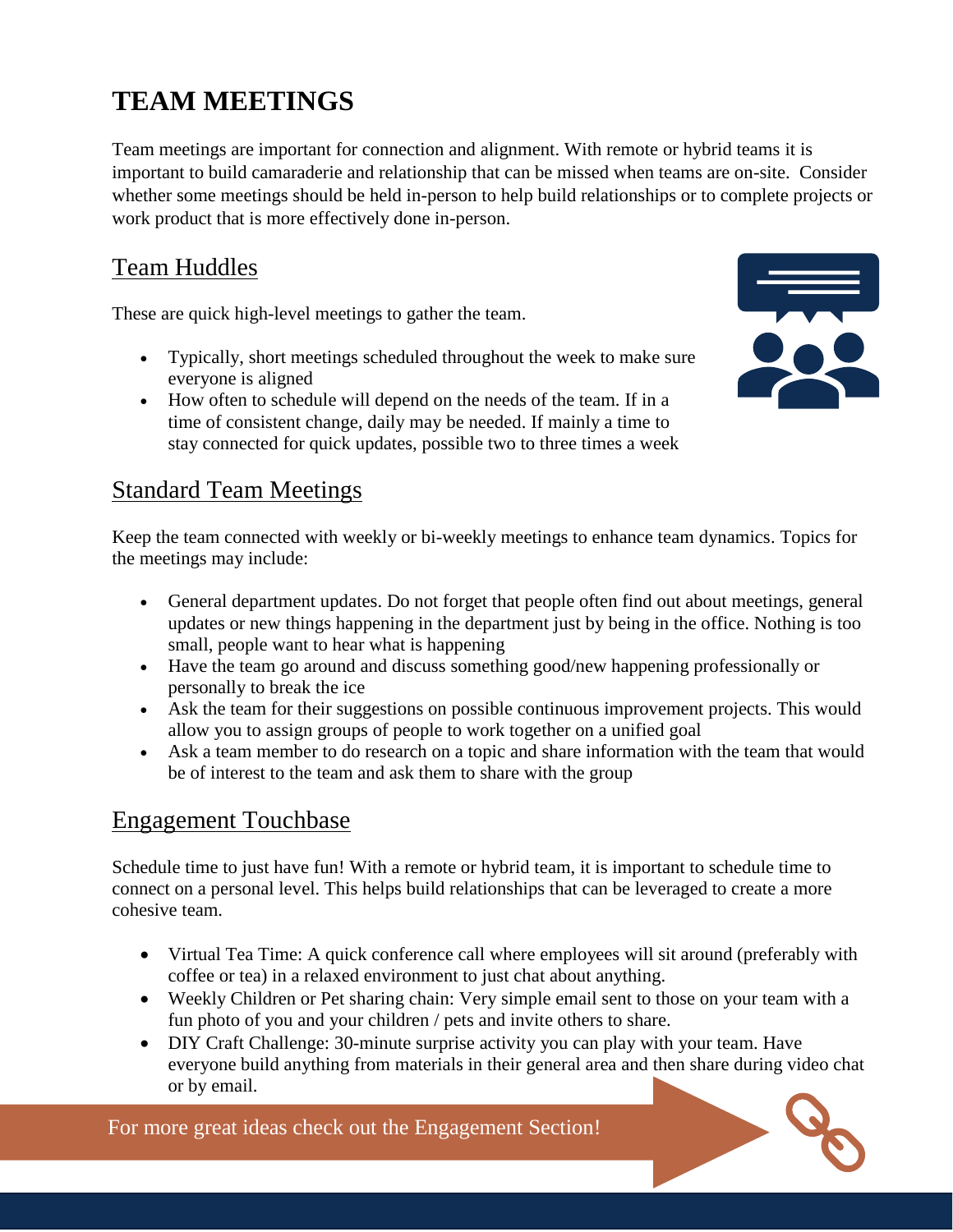# <span id="page-8-0"></span>**TEAM MEETINGS**

Team meetings are important for connection and alignment. With remote or hybrid teams it is important to build camaraderie and relationship that can be missed when teams are on-site. Consider whether some meetings should be held in-person to help build relationships or to complete projects or work product that is more effectively done in-person.

#### <span id="page-8-1"></span>Team Huddles

These are quick high-level meetings to gather the team.

- Typically, short meetings scheduled throughout the week to make sure everyone is aligned
- How often to schedule will depend on the needs of the team. If in a time of consistent change, daily may be needed. If mainly a time to stay connected for quick updates, possible two to three times a week



#### <span id="page-8-2"></span>Standard Team Meetings

Keep the team connected with weekly or bi-weekly meetings to enhance team dynamics. Topics for the meetings may include:

- General department updates. Do not forget that people often find out about meetings, general updates or new things happening in the department just by being in the office. Nothing is too small, people want to hear what is happening
- Have the team go around and discuss something good/new happening professionally or personally to break the ice
- Ask the team for their suggestions on possible continuous improvement projects. This would allow you to assign groups of people to work together on a unified goal
- Ask a team member to do research on a topic and share information with the team that would be of interest to the team and ask them to share with the group

#### <span id="page-8-3"></span>Engagement Touchbase

Schedule time to just have fun! With a remote or hybrid team, it is important to schedule time to connect on a personal level. This helps build relationships that can be leveraged to create a more cohesive team.

- Virtual Tea Time: A quick conference call where employees will sit around (preferably with coffee or tea) in a relaxed environment to just chat about anything.
- Weekly Children or Pet sharing chain: Very simple email sent to those on your team with a fun photo of you and your children / pets and invite others to share.
- DIY Craft Challenge: 30-minute surprise activity you can play with your team. Have everyone build anything from materials in their general area and then share during video chat or by email.

For more great ideas check out the Engagement Section!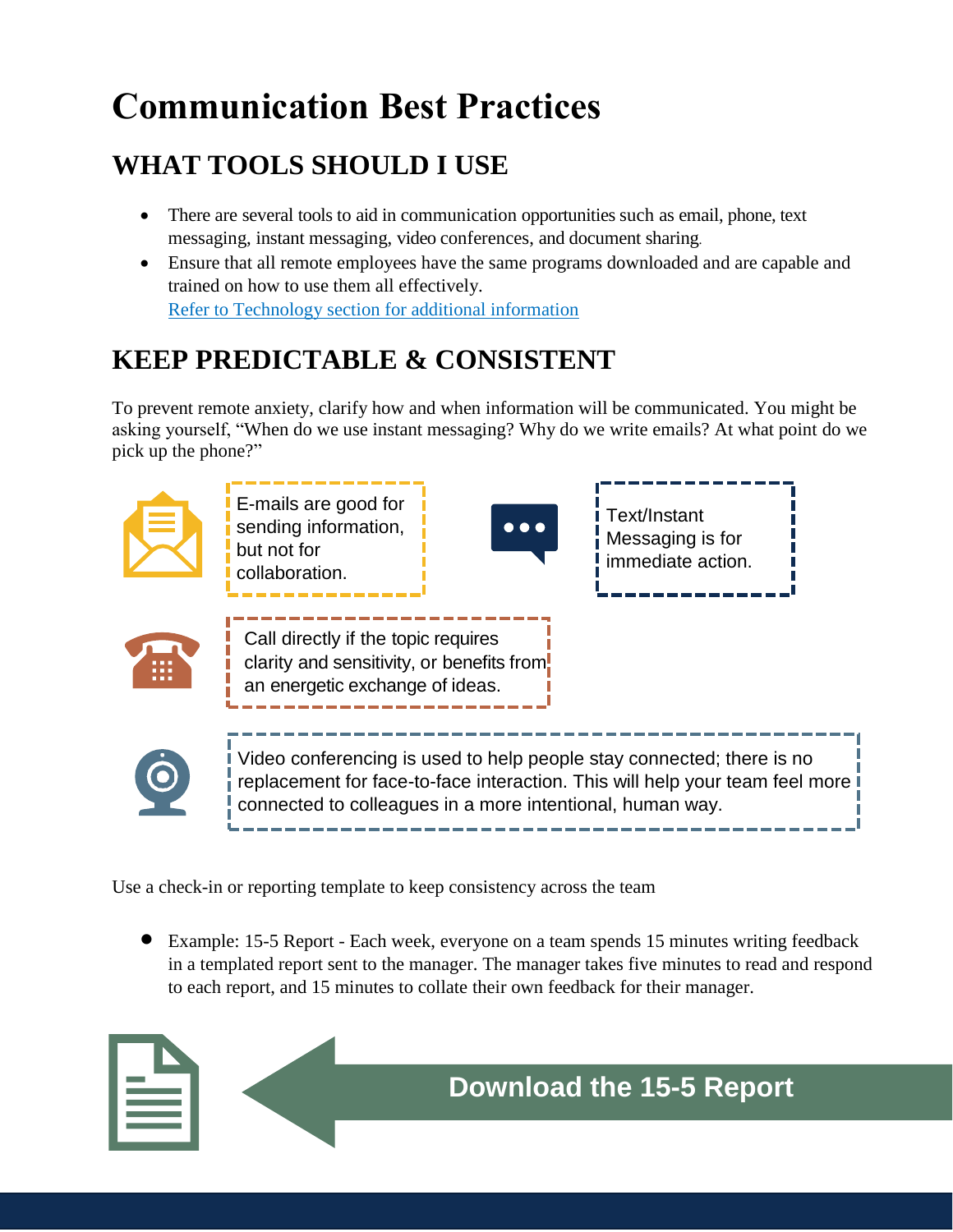# <span id="page-9-0"></span>**Communication Best Practices**

# <span id="page-9-1"></span>**WHAT TOOLS SHOULD I USE**

- There are several tools to aid in communication opportunities such as email, phone, text messaging, instant messaging, video conferences, and document sharing.
- Ensure that all remote employees have the same programs downloaded and are capable and trained on how to use them all effectively. [Refer to Technology section for additional information](#page-12-0)

# <span id="page-9-2"></span>**KEEP PREDICTABLE & CONSISTENT**

To prevent remote anxiety, clarify how and when information will be communicated. You might be asking yourself, "When do we use instant messaging? Why do we write emails? At what point do we pick up the phone?"



Use a check-in or reporting template to keep consistency across the team

• Example: 15-5 Report - Each week, everyone on a team spends 15 minutes writing feedback in a templated report sent to the manager. The manager takes five minutes to read and respond to each report, and 15 minutes to collate their own feedback for their manager.

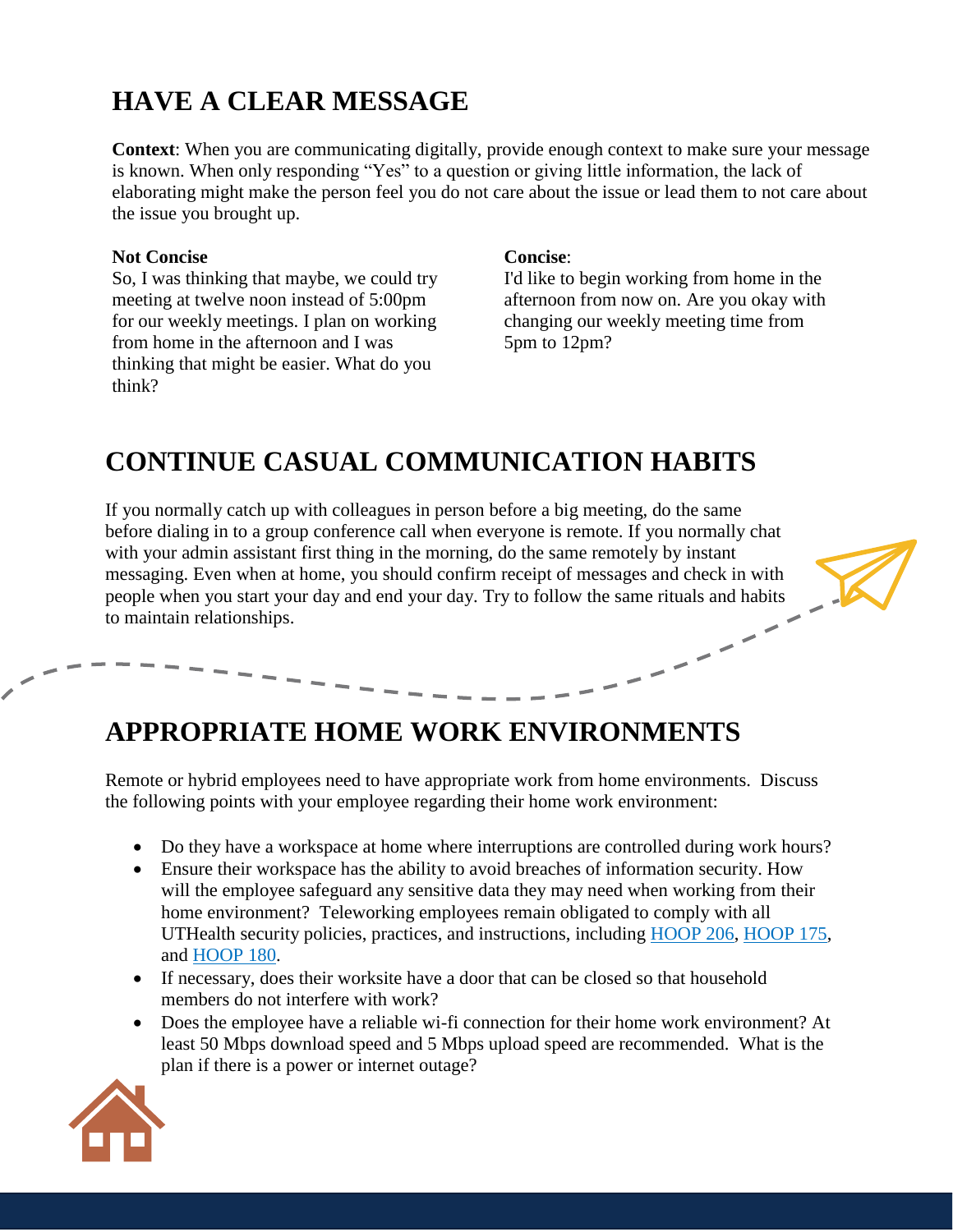# <span id="page-10-0"></span>**HAVE A CLEAR MESSAGE**

**Context**: When you are communicating digitally, provide enough context to make sure your message is known. When only responding "Yes" to a question or giving little information, the lack of elaborating might make the person feel you do not care about the issue or lead them to not care about the issue you brought up.

#### **Not Concise**

So, I was thinking that maybe, we could try meeting at twelve noon instead of 5:00pm for our weekly meetings. I plan on working from home in the afternoon and I was thinking that might be easier. What do you think?

#### **Concise**:

I'd like to begin working from home in the afternoon from now on. Are you okay with changing our weekly meeting time from 5pm to 12pm?

# <span id="page-10-1"></span>**CONTINUE CASUAL COMMUNICATION HABITS**

If you normally catch up with colleagues in person before a big meeting, do the same before dialing in to a group conference call when everyone is remote. If you normally chat with your admin assistant first thing in the morning, do the same remotely by instant messaging. Even when at home, you should confirm receipt of messages and check in with people when you start your day and end your day. Try to follow the same rituals and habits to maintain relationships.

## <span id="page-10-2"></span>**APPROPRIATE HOME WORK ENVIRONMENTS**

Remote or hybrid employees need to have appropriate work from home environments. Discuss the following points with your employee regarding their home work environment:

- Do they have a workspace at home where interruptions are controlled during work hours?
- Ensure their workspace has the ability to avoid breaches of information security. How will the employee safeguard any sensitive data they may need when working from their home environment? Teleworking employees remain obligated to comply with all UTHealth security policies, practices, and instructions, including [HOOP 206,](https://www.uth.edu/hoop/policy.htm?id=1974558) [HOOP 175,](https://www.uth.edu/hoop/policy.htm?id=1448198) and [HOOP 180.](https://www.uth.edu/hoop/policy.htm?id=1448208)
- If necessary, does their worksite have a door that can be closed so that household members do not interfere with work?
- Does the employee have a reliable wi-fi connection for their home work environment? At least 50 Mbps download speed and 5 Mbps upload speed are recommended. What is the plan if there is a power or internet outage?

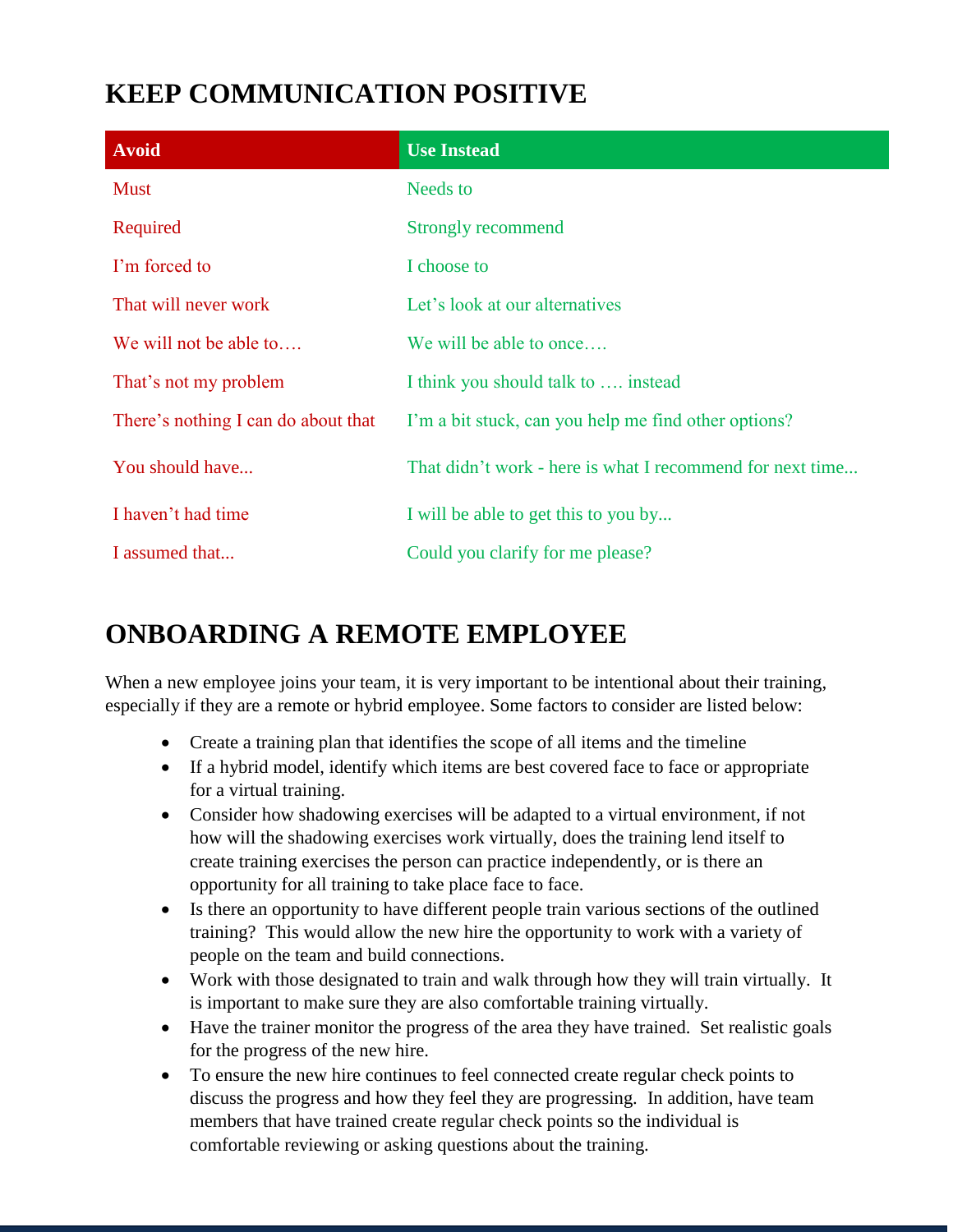# <span id="page-11-0"></span>**KEEP COMMUNICATION POSITIVE**

| <b>Avoid</b>                        | <b>Use Instead</b>                                        |
|-------------------------------------|-----------------------------------------------------------|
| <b>Must</b>                         | Needs to                                                  |
| Required                            | <b>Strongly recommend</b>                                 |
| I'm forced to                       | I choose to                                               |
| That will never work                | Let's look at our alternatives                            |
| We will not be able to              | We will be able to once                                   |
| That's not my problem               | I think you should talk to  instead                       |
| There's nothing I can do about that | I'm a bit stuck, can you help me find other options?      |
| You should have                     | That didn't work - here is what I recommend for next time |
| I haven't had time                  | I will be able to get this to you by                      |
| I assumed that                      | Could you clarify for me please?                          |

# <span id="page-11-1"></span>**ONBOARDING A REMOTE EMPLOYEE**

When a new employee joins your team, it is very important to be intentional about their training, especially if they are a remote or hybrid employee. Some factors to consider are listed below:

- Create a training plan that identifies the scope of all items and the timeline
- If a hybrid model, identify which items are best covered face to face or appropriate for a virtual training.
- Consider how shadowing exercises will be adapted to a virtual environment, if not how will the shadowing exercises work virtually, does the training lend itself to create training exercises the person can practice independently, or is there an opportunity for all training to take place face to face.
- Is there an opportunity to have different people train various sections of the outlined training? This would allow the new hire the opportunity to work with a variety of people on the team and build connections.
- Work with those designated to train and walk through how they will train virtually. It is important to make sure they are also comfortable training virtually.
- Have the trainer monitor the progress of the area they have trained. Set realistic goals for the progress of the new hire.
- To ensure the new hire continues to feel connected create regular check points to discuss the progress and how they feel they are progressing. In addition, have team members that have trained create regular check points so the individual is comfortable reviewing or asking questions about the training.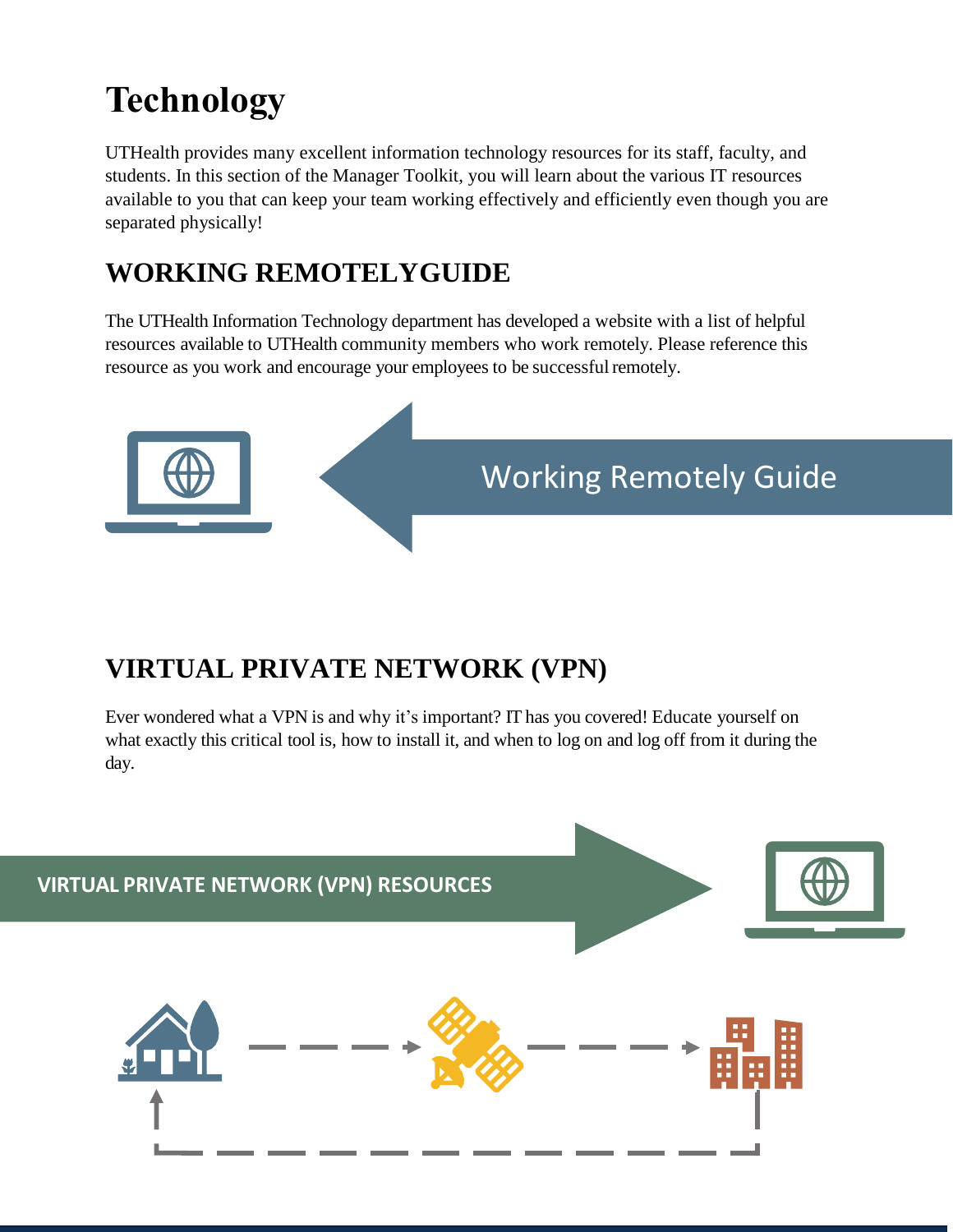# <span id="page-12-0"></span>**Technology**

UTHealth provides many excellent information technology resources for its staff, faculty, and students. In this section of the Manager Toolkit, you will learn about the various IT resources available to you that can keep your team working effectively and efficiently even though you are separated physically!

# <span id="page-12-1"></span>**WORKING REMOTELYGUIDE**

The UTHealth Information Technology department has developed a website with a list of helpful resources available to UTHealth community members who work remotely. Please reference this resource as you work and encourage your employees to be successfulremotely.



# <span id="page-12-2"></span>**VIRTUAL PRIVATE NETWORK (VPN)**

Ever wondered what a VPN is and why it's important? IT has you covered! Educate yourself on what exactly this critical tool is, how to install it, and when to log on and log off from it during the day.

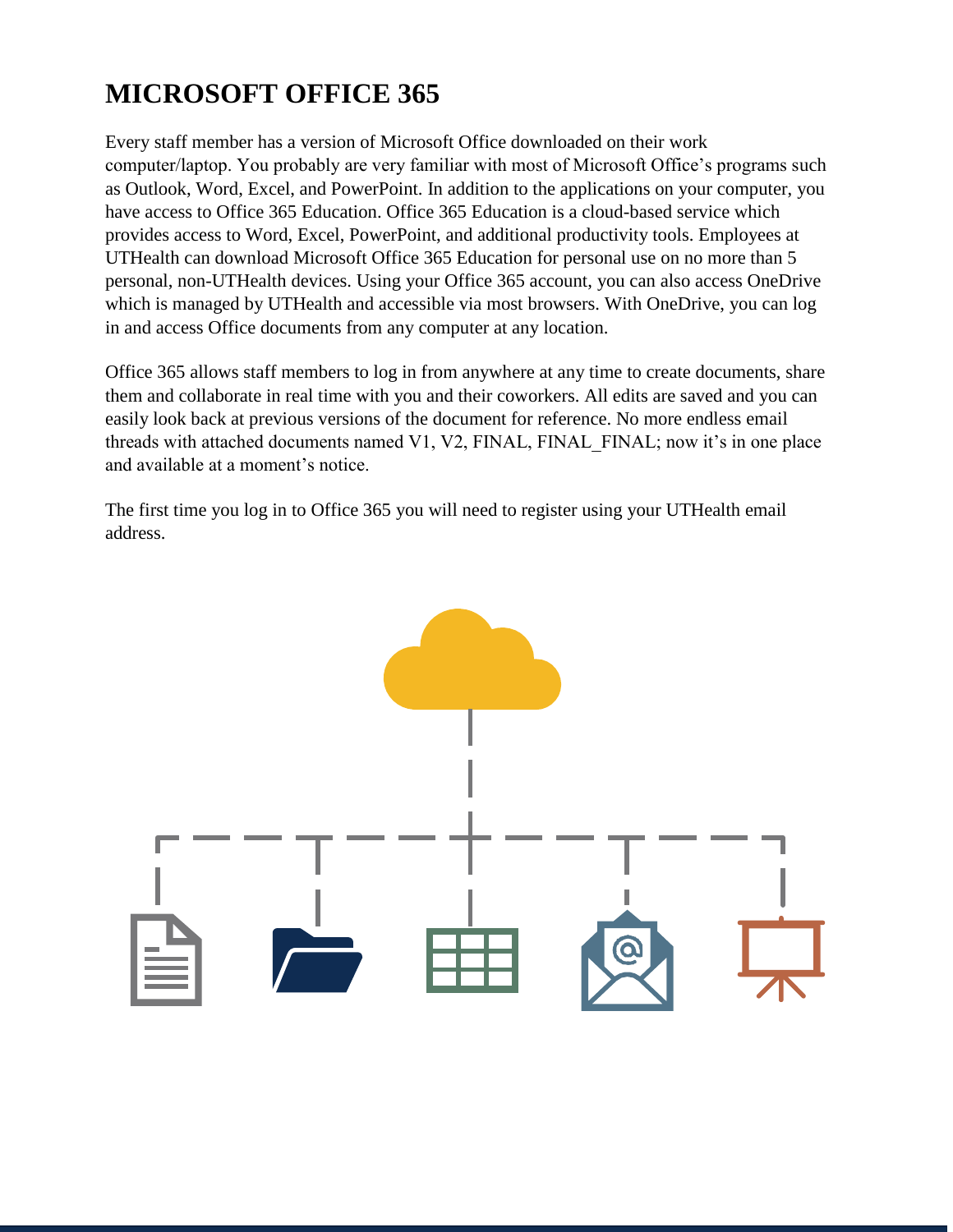# <span id="page-13-0"></span>**MICROSOFT OFFICE 365**

Every staff member has a version of Microsoft Office downloaded on their work computer/laptop. You probably are very familiar with most of Microsoft Office's programs such as Outlook, Word, Excel, and PowerPoint. In addition to the applications on your computer, you have access to Office 365 Education. Office 365 Education is a cloud-based service which provides access to Word, Excel, PowerPoint, and additional productivity tools. Employees at UTHealth can download Microsoft Office 365 Education for personal use on no more than 5 personal, non-UTHealth devices. Using your Office 365 account, you can also access OneDrive which is managed by UTHealth and accessible via most browsers. With OneDrive, you can log in and access Office documents from any computer at any location.

Office 365 allows staff members to log in from anywhere at any time to create documents, share them and collaborate in real time with you and their coworkers. All edits are saved and you can easily look back at previous versions of the document for reference. No more endless email threads with attached documents named V1, V2,  $FINAL$ ,  $FINAL$ ,  $FINAL$ ; now it's in one place and available at a moment's notice.

The first time you log in to Office 365 you will need to register using your UTHealth email address.

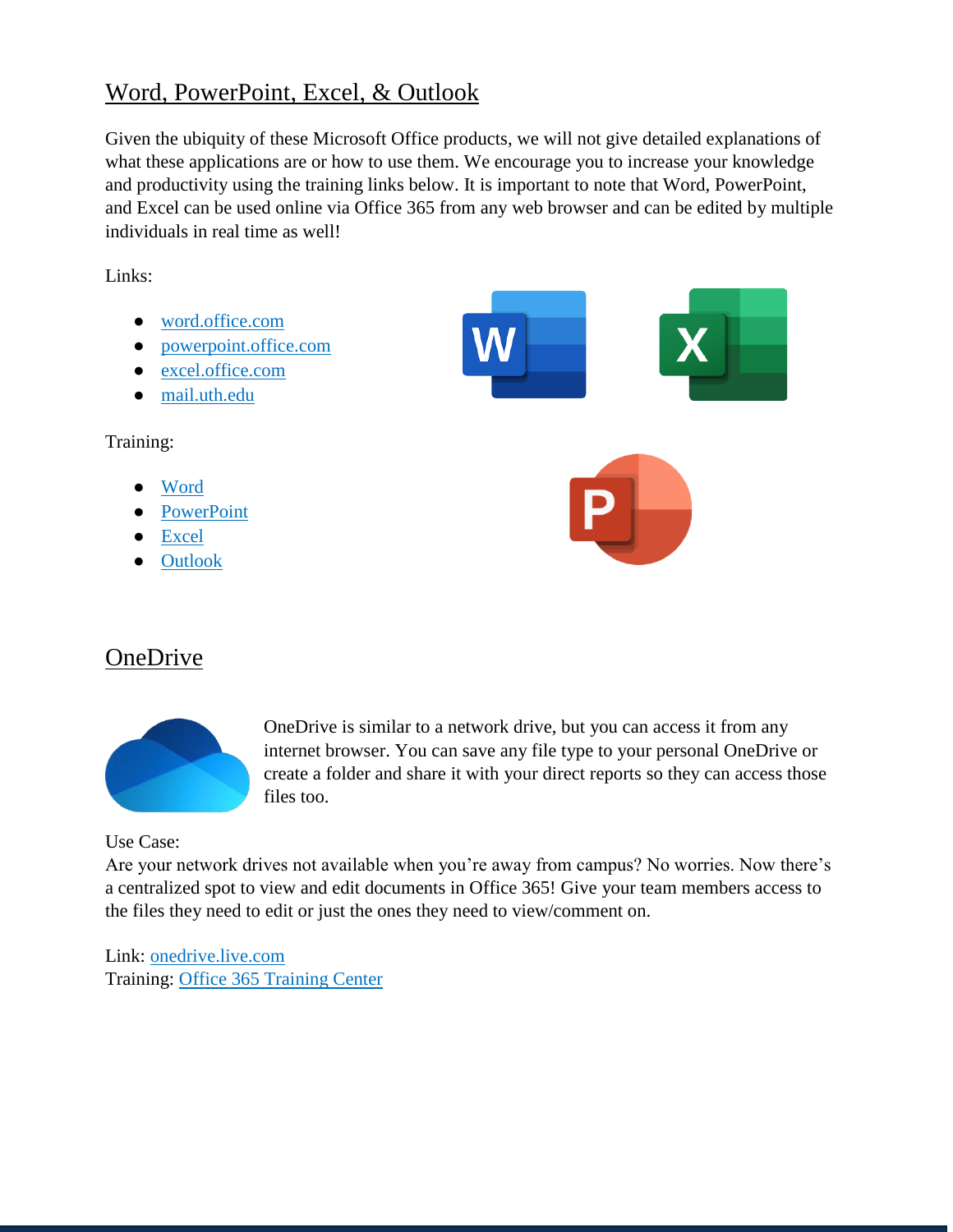#### <span id="page-14-0"></span>Word, PowerPoint, Excel, & Outlook

Given the ubiquity of these Microsoft Office products, we will not give detailed explanations of what these applications are or how to use them. We encourage you to increase your knowledge and productivity using the training links below. It is important to note that Word, PowerPoint, and Excel can be used online via Office 365 from any web browser and can be edited by multiple individuals in real time as well!

Links:

● [word.office.com](http://word.office.com/) ● [powerpoint.office.com](http://powerpoint.office.com/) ● [excel.office.com](http://excel.office.com/) ● [mail.uth.edu](https://mail.uth.edu/) Training: [Word](https://support.office.com/en-us/word) **[PowerPoint](https://support.office.com/en-us/powerpoint) [Excel](https://support.office.com/en-us/excel) [Outlook](https://support.office.com/en-us/outlook)** 

#### <span id="page-14-1"></span>**OneDrive**



OneDrive is similar to a network drive, but you can access it from any internet browser. You can save any file type to your personal OneDrive or create a folder and share it with your direct reports so they can access those files too.

Use Case:

Are your network drives not available when you're away from campus? No worries. Now there's a centralized spot to view and edit documents in Office 365! Give your team members access to the files they need to edit or just the ones they need to view/comment on.

Link: [onedrive.live.com](http://onedrive.live.com/) Training: [Office 365 Training Center](https://support.office.com/en-us/onedrive)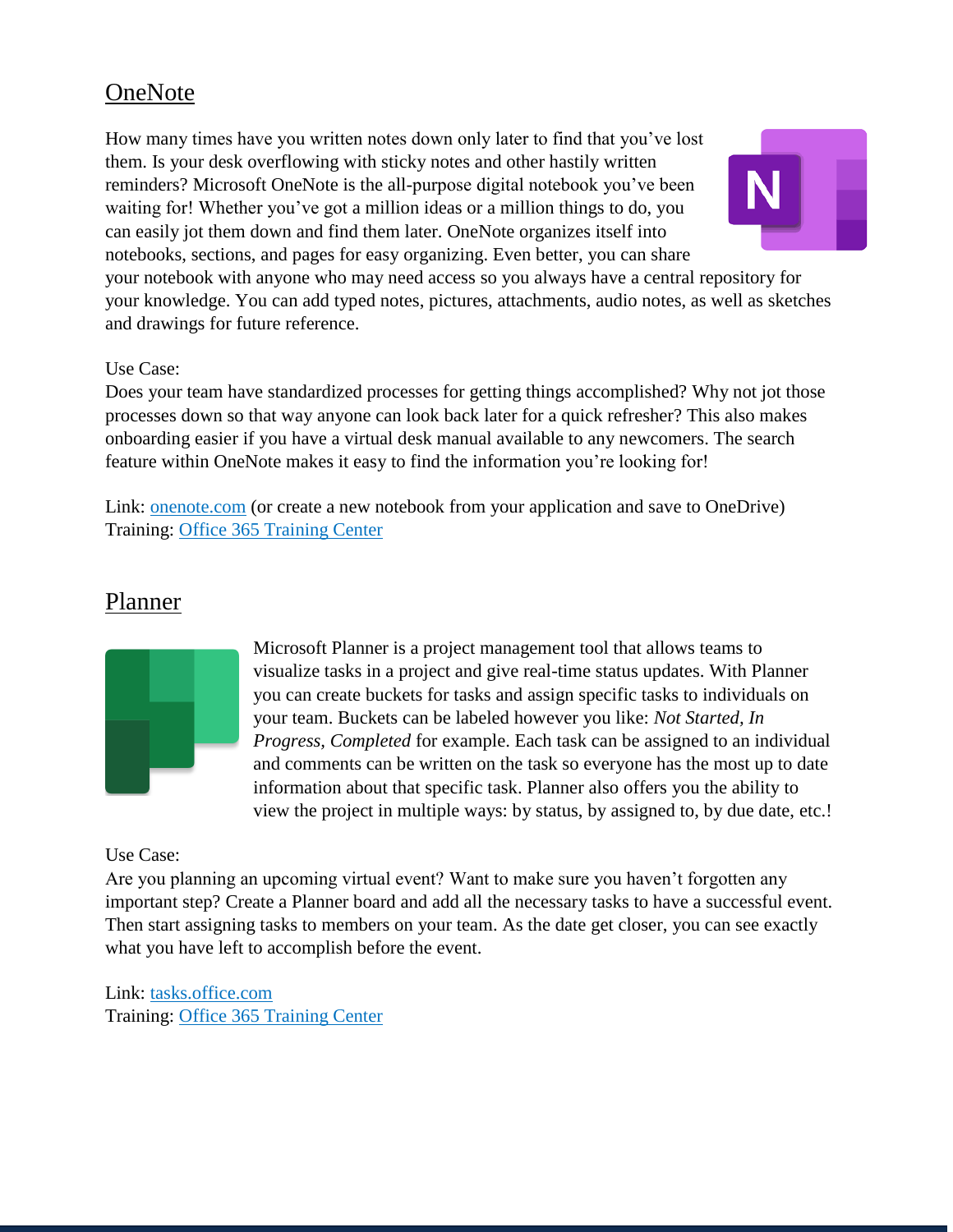#### <span id="page-15-0"></span>**OneNote**

How many times have you written notes down only later to find that you've lost them. Is your desk overflowing with sticky notes and other hastily written reminders? Microsoft OneNote is the all-purpose digital notebook you've been waiting for! Whether you've got a million ideas or a million things to do, you can easily jot them down and find them later. OneNote organizes itself into notebooks, sections, and pages for easy organizing. Even better, you can share



your notebook with anyone who may need access so you always have a central repository for your knowledge. You can add typed notes, pictures, attachments, audio notes, as well as sketches and drawings for future reference.

#### Use Case:

Does your team have standardized processes for getting things accomplished? Why not jot those processes down so that way anyone can look back later for a quick refresher? This also makes onboarding easier if you have a virtual desk manual available to any newcomers. The search feature within OneNote makes it easy to find the information you're looking for!

Link: [onenote.com](https://support.office.com/en-us/onedrive) (or create a new notebook from your application and save to OneDrive) Training: [Office 365 Training Center](https://support.office.com/en-us/onenote)

#### <span id="page-15-1"></span>Planner



Microsoft Planner is a project management tool that allows teams to visualize tasks in a project and give real-time status updates. With Planner you can create buckets for tasks and assign specific tasks to individuals on your team. Buckets can be labeled however you like: *Not Started, In Progress, Completed* for example. Each task can be assigned to an individual and comments can be written on the task so everyone has the most up to date information about that specific task. Planner also offers you the ability to view the project in multiple ways: by status, by assigned to, by due date, etc.!

#### Use Case:

Are you planning an upcoming virtual event? Want to make sure you haven't forgotten any important step? Create a Planner board and add all the necessary tasks to have a successful event. Then start assigning tasks to members on your team. As the date get closer, you can see exactly what you have left to accomplish before the event.

Link: [tasks.office.com](http://tasks.office.com/) Training: [Office 365 Training Center](https://support.office.com/en-us/planner)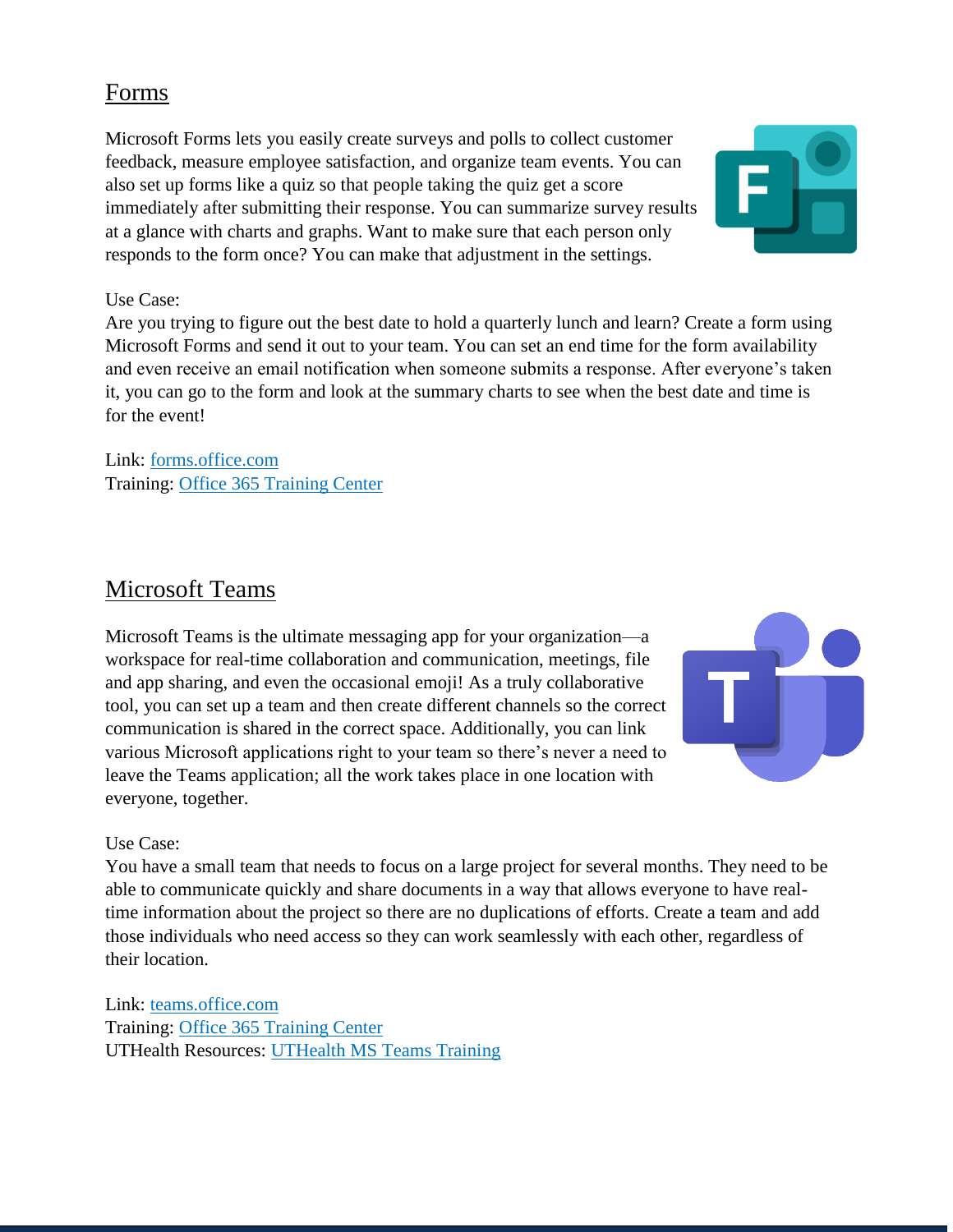#### <span id="page-16-0"></span>Forms

Microsoft Forms lets you easily create surveys and polls to collect customer feedback, measure employee satisfaction, and organize team events. You can also set up forms like a quiz so that people taking the quiz get a score immediately after submitting their response. You can summarize survey results at a glance with charts and graphs. Want to make sure that each person only responds to the form once? You can make that adjustment in the settings.



#### Use Case:

Are you trying to figure out the best date to hold a quarterly lunch and learn? Create a form using Microsoft Forms and send it out to your team. You can set an end time for the form availability and even receive an email notification when someone submits a response. After everyone's taken it, you can go to the form and look at the summary charts to see when the best date and time is for the event!

Link: [forms.office.com](http://forms.office.com/) Training: [Office 365 Training Center](https://support.office.com/en-us/forms)

#### <span id="page-16-1"></span>Microsoft Teams

Microsoft Teams is the ultimate messaging app for your organization—a workspace for real-time collaboration and communication, meetings, file and app sharing, and even the occasional emoji! As a truly collaborative tool, you can set up a team and then create different channels so the correct communication is shared in the correct space. Additionally, you can link various Microsoft applications right to your team so there's never a need to leave the Teams application; all the work takes place in one location with everyone, together.



#### Use Case:

You have a small team that needs to focus on a large project for several months. They need to be able to communicate quickly and share documents in a way that allows everyone to have realtime information about the project so there are no duplications of efforts. Create a team and add those individuals who need access so they can work seamlessly with each other, regardless of their location.

Link: [teams.office.com](http://teams.office.com/) Training: [Office 365 Training Center](https://support.office.com/en-us/teams) UTHealth Resources: [UTHealth MS Teams Training](https://inside.uth.edu/m365/teams/)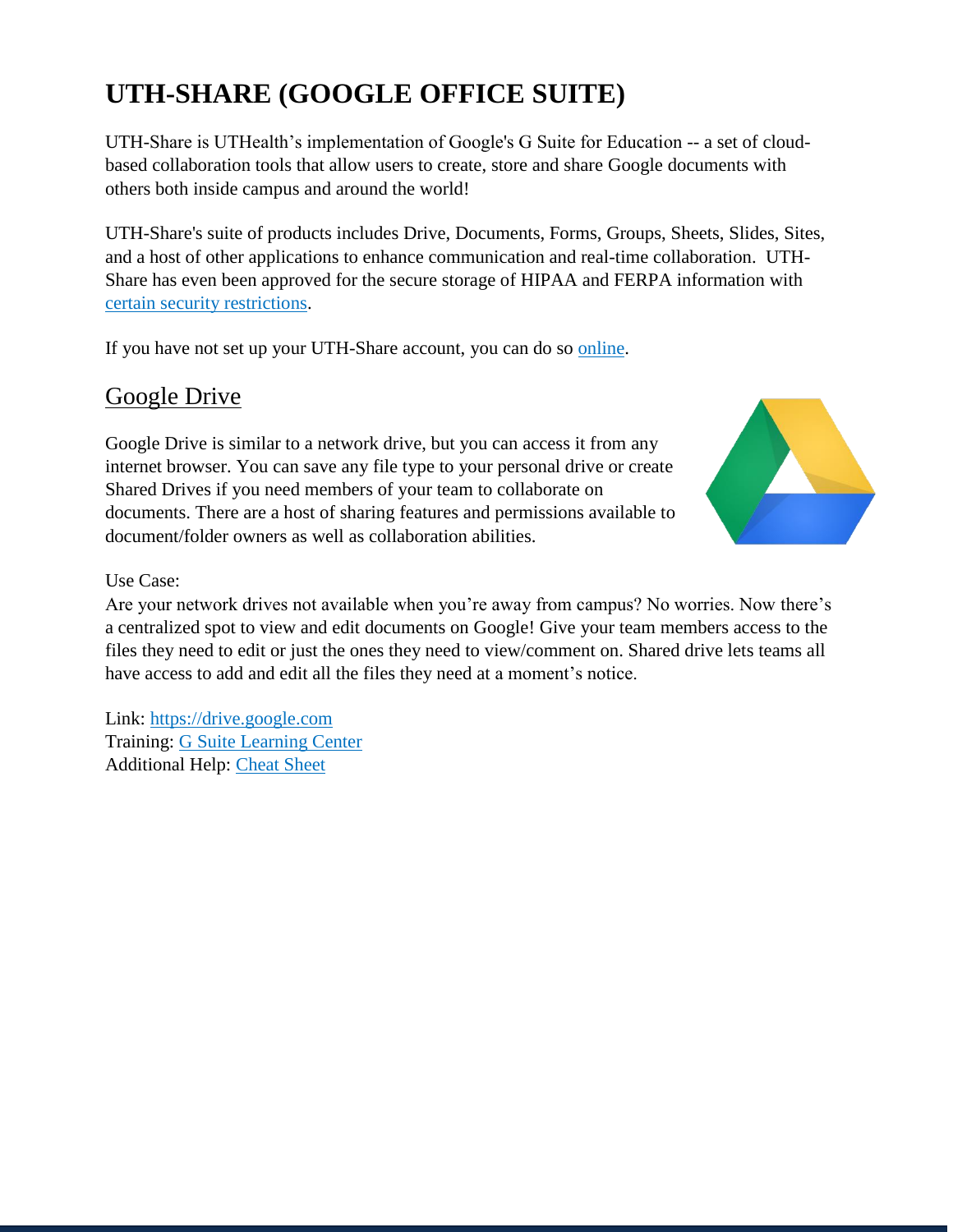# <span id="page-17-1"></span><span id="page-17-0"></span>**UTH-SHARE (GOOGLE OFFICE SUITE)**

UTH-Share is UTHealth's implementation of Google's G Suite for Education -- a set of cloudbased collaboration tools that allow users to create, store and share Google documents with others both inside campus and around the world!

UTH-Share's suite of products includes Drive, Documents, Forms, Groups, Sheets, Slides, Sites, and a host of other applications to enhance communication and real-time collaboration. UTH-Share has even been approved for the secure storage of HIPAA and FERPA information with [certain security restrictions.](https://www.uth.edu/uthshare/enabling-phi.htm)

If you have not set up your UTH-Share account, you can do so [online.](https://www.uth.edu/uthshare/index.htm)

#### Google Drive

Google Drive is similar to a network drive, but you can access it from any internet browser. You can save any file type to your personal drive or create Shared Drives if you need members of your team to collaborate on documents. There are a host of sharing features and permissions available to document/folder owners as well as collaboration abilities.



Use Case:

Are your network drives not available when you're away from campus? No worries. Now there's a centralized spot to view and edit documents on Google! Give your team members access to the files they need to edit or just the ones they need to view/comment on. Shared drive lets teams all have access to add and edit all the files they need at a moment's notice.

Link: [https://drive.google.com](https://drive.google.com/) Training: [G Suite Learning Center](https://support.google.com/a/users/answer/9310246?hl=en&ref_topic=9296420&visit_id=637215188000313864-490523461&rd=1) Additional Help: [Cheat Sheet](https://support.google.com/a/users/answer/9300017)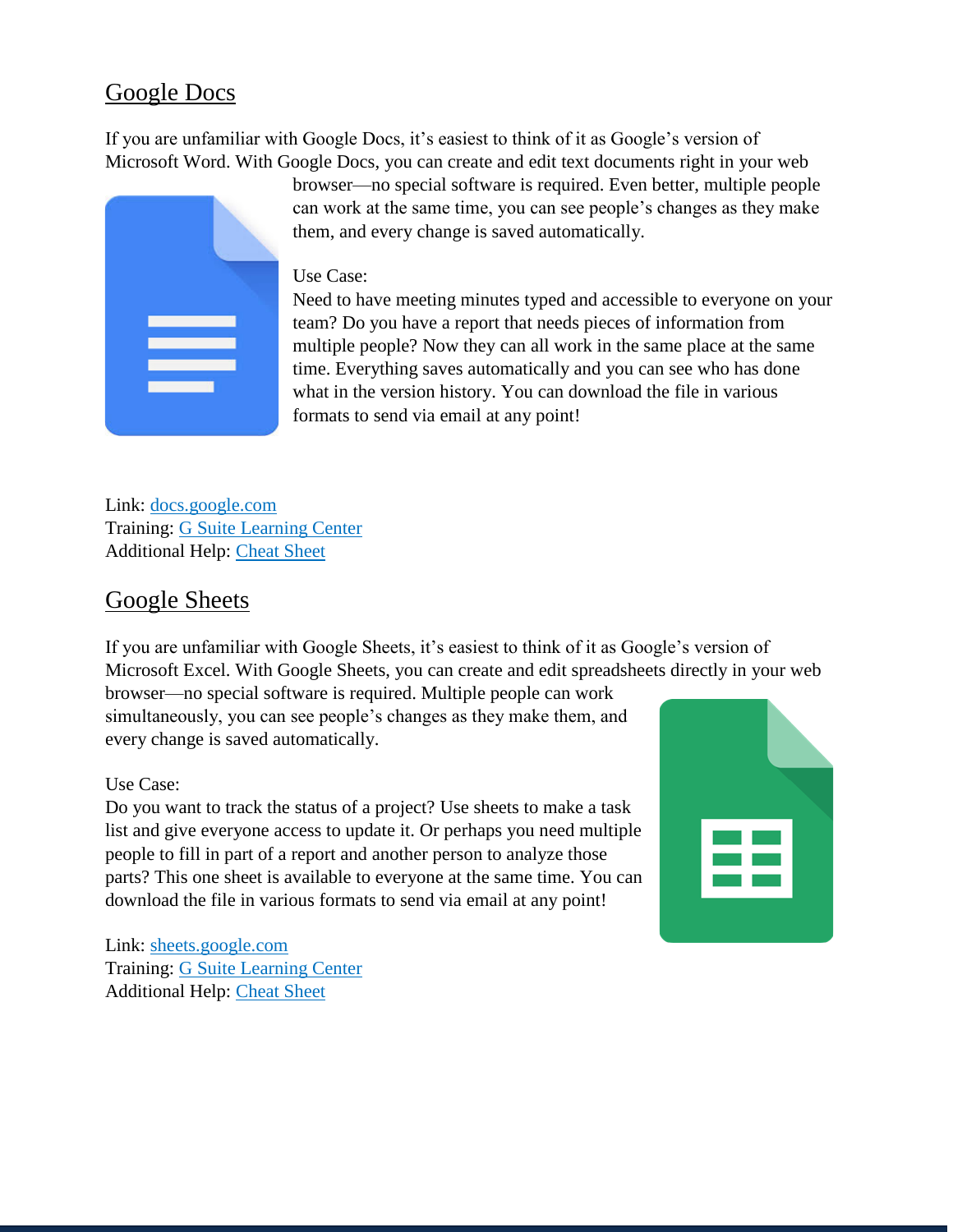#### <span id="page-18-0"></span>Google Docs

If you are unfamiliar with Google Docs, it's easiest to think of it as Google's version of Microsoft Word. With Google Docs, you can create and edit text documents right in your web



browser—no special software is required. Even better, multiple people can work at the same time, you can see people's changes as they make them, and every change is saved automatically.

#### Use Case:

Need to have meeting minutes typed and accessible to everyone on your team? Do you have a report that needs pieces of information from multiple people? Now they can all work in the same place at the same time. Everything saves automatically and you can see who has done what in the version history. You can download the file in various formats to send via email at any point!

Link: [docs.google.com](http://docs.google.com/) Training: G Suite [Learning Center](https://support.google.com/a/users/answer/9300503) Additional Help: [Cheat Sheet](https://support.google.com/a/users/answer/9299931)

every change is saved automatically.

#### <span id="page-18-1"></span>Google Sheets

If you are unfamiliar with Google Sheets, it's easiest to think of it as Google's version of Microsoft Excel. With Google Sheets, you can create and edit spreadsheets directly in your web browser—no special software is required. Multiple people can work simultaneously, you can see people's changes as they make them, and

Use Case:

Do you want to track the status of a project? Use sheets to make a task list and give everyone access to update it. Or perhaps you need multiple people to fill in part of a report and another person to analyze those parts? This one sheet is available to everyone at the same time. You can download the file in various formats to send via email at any point!



Link: [sheets.google.com](http://sheets.google.com/) Training: [G Suite Learning Center](https://support.google.com/a/users/answer/9310369) Additional Help: [Cheat Sheet](https://support.google.com/a/users/answer/9300022)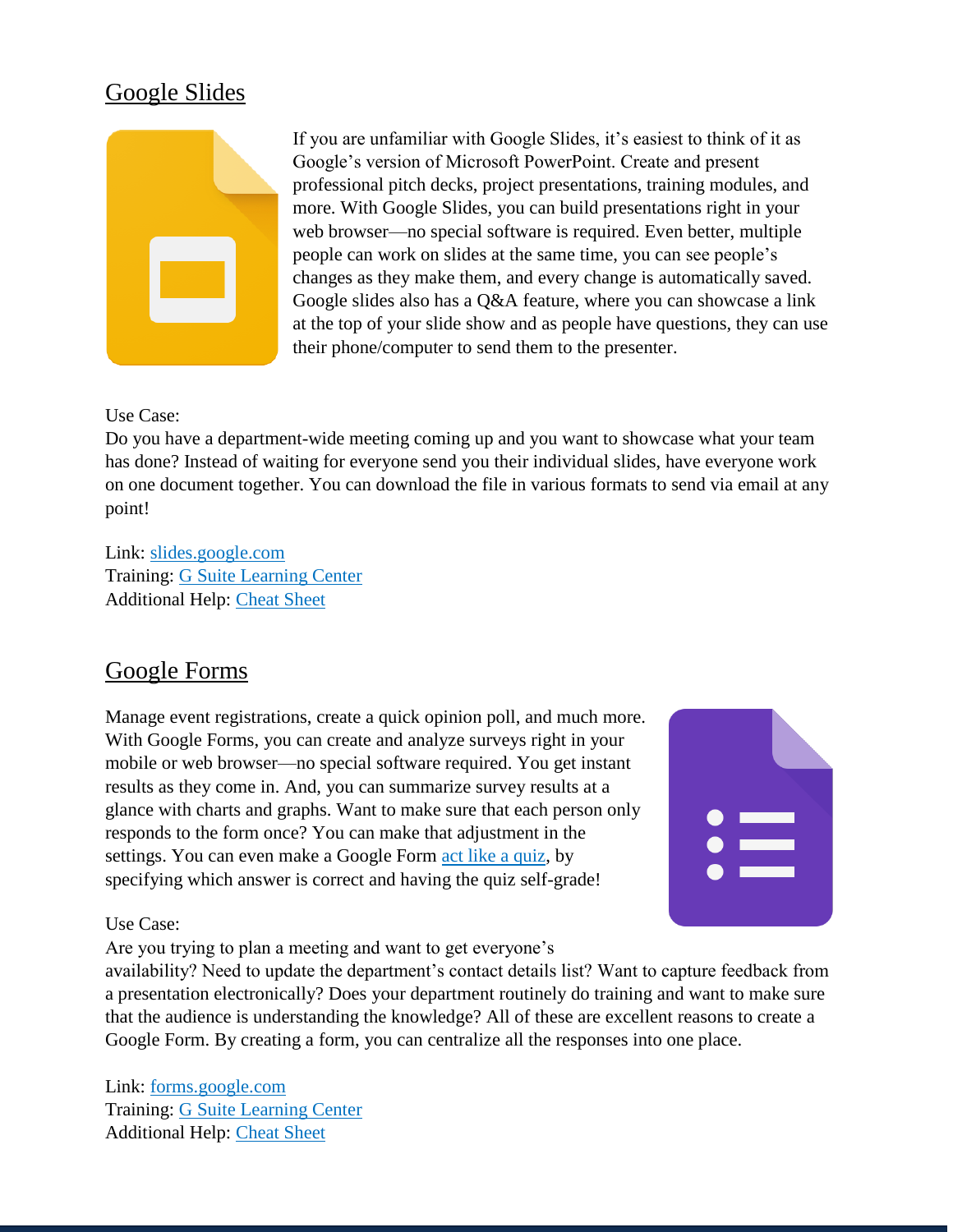#### <span id="page-19-0"></span>Google Slides



If you are unfamiliar with Google Slides, it's easiest to think of it as Google's version of Microsoft PowerPoint. Create and present professional pitch decks, project presentations, training modules, and more. With Google Slides, you can build presentations right in your web browser—no special software is required. Even better, multiple people can work on slides at the same time, you can see people's changes as they make them, and every change is automatically saved. Google slides also has a Q&A feature, where you can showcase a link at the top of your slide show and as people have questions, they can use their phone/computer to send them to the presenter.

#### Use Case:

Do you have a department-wide meeting coming up and you want to showcase what your team has done? Instead of waiting for everyone send you their individual slides, have everyone work on one document together. You can download the file in various formats to send via email at any point!

Link: [slides.google.com](http://slides.google.com/) Training: [G Suite Learning Center](https://support.google.com/a/users/answer/9313043) Additional Help: [Cheat Sheet](https://support.google.com/a/users/answer/9300133)

#### <span id="page-19-1"></span>Google Forms

Manage event registrations, create a quick opinion poll, and much more. With Google Forms, you can create and analyze surveys right in your mobile or web browser—no special software required. You get instant results as they come in. And, you can summarize survey results at a glance with charts and graphs. Want to make sure that each person only responds to the form once? You can make that adjustment in the settings. You can even make a Google Form [act like a quiz,](https://support.google.com/a/users/answer/9310162) by specifying which answer is correct and having the quiz self-grade!



#### Use Case:

Are you trying to plan a meeting and want to get everyone's

availability? Need to update the department's contact details list? Want to capture feedback from a presentation electronically? Does your department routinely do training and want to make sure that the audience is understanding the knowledge? All of these are excellent reasons to create a Google Form. By creating a form, you can centralize all the responses into one place.

Link: [forms.google.com](http://forms.google.com/) Training: [G Suite Learning Center](https://support.google.com/a/users/answer/9302965) Additional Help: [Cheat Sheet](https://support.google.com/a/users/answer/9299716)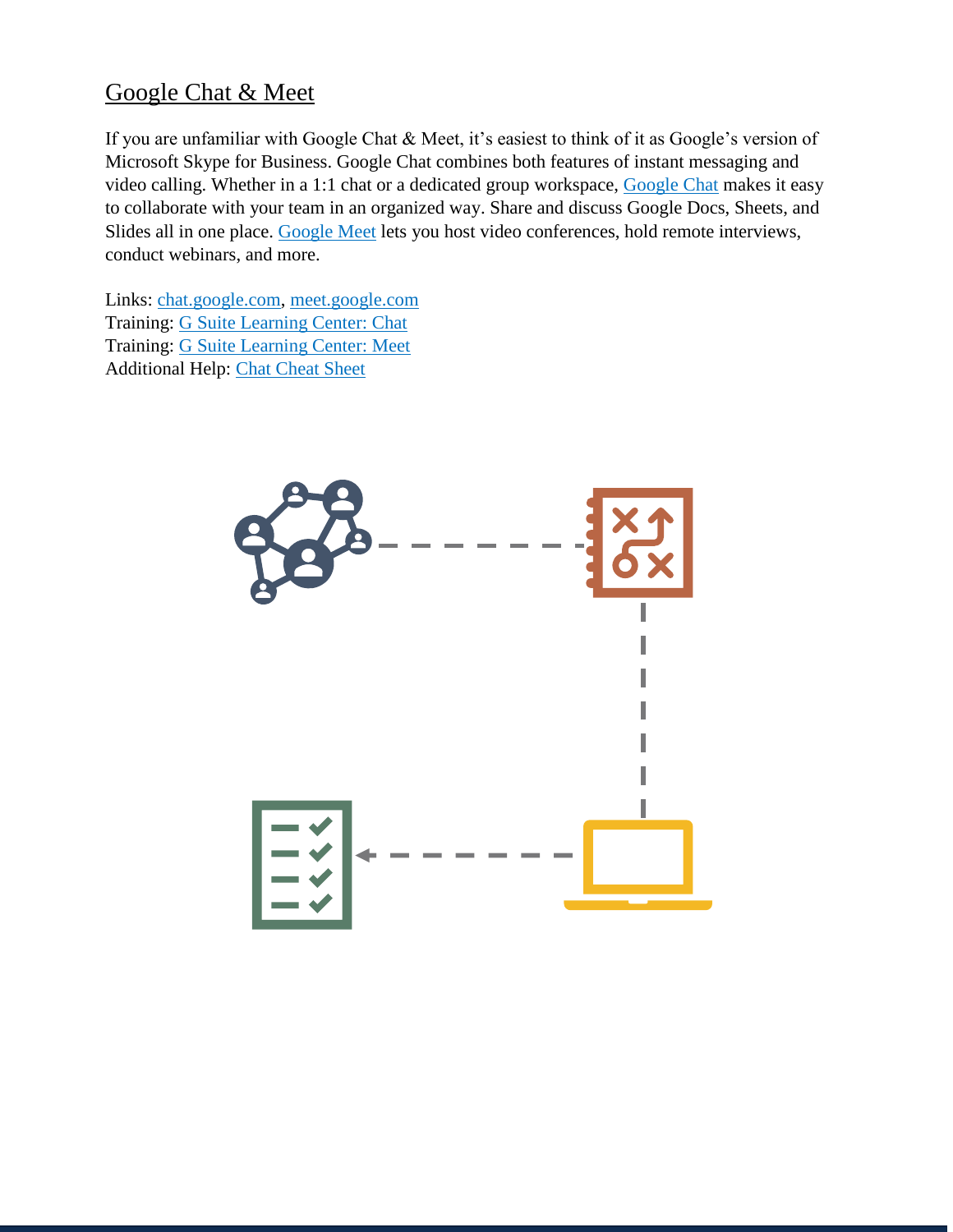#### <span id="page-20-0"></span>Google Chat & Meet

If you are unfamiliar with Google Chat & Meet, it's easiest to think of it as Google's version of Microsoft Skype for Business. Google Chat combines both features of instant messaging and video calling. Whether in a 1:1 chat or a dedicated group workspace, [Google Chat](http://chat.google.com/) makes it easy to collaborate with your team in an organized way. Share and discuss Google Docs, Sheets, and Slides all in one place. [Google Meet](http://meet.google.com/) lets you host video conferences, hold remote interviews, conduct webinars, and more.

Links: [chat.google.com,](http://chat.google.com/) [meet.google.com](http://meet.google.com/) Training: [G Suite Learning Center: Chat](https://support.google.com/a/users/answer/9300511) Training: [G Suite Learning Center: Meet](https://support.google.com/a/users/answer/9282720?hl=en&ref_topic=9348670) Additional Help: [Chat Cheat Sheet](https://support.google.com/a/users/answer/9299928)

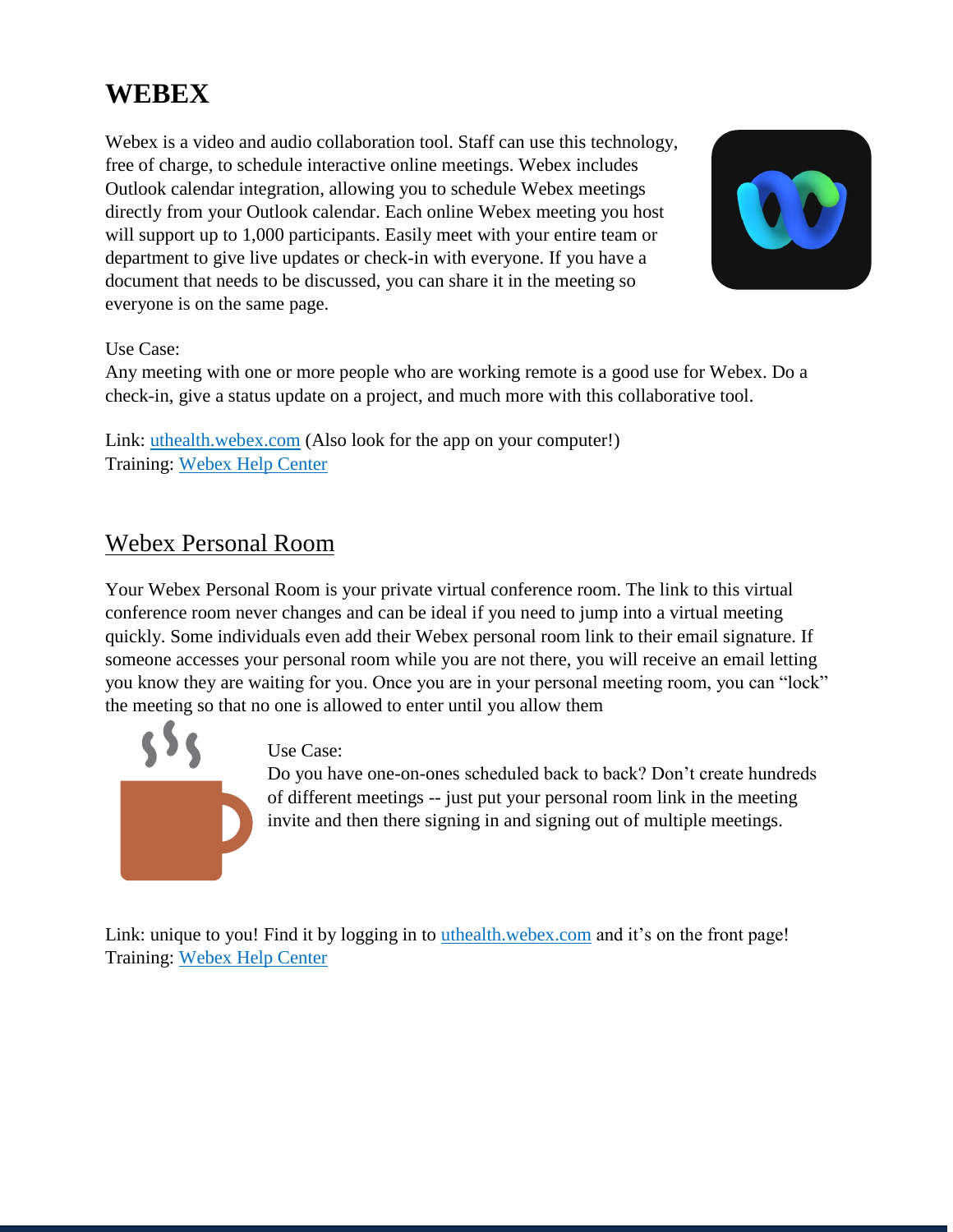# <span id="page-21-0"></span>**WEBEX**

Webex is a video and audio collaboration tool. Staff can use this technology, free of charge, to schedule interactive online meetings. Webex includes Outlook calendar integration, allowing you to schedule Webex meetings directly from your Outlook calendar. Each online Webex meeting you host will support up to 1,000 participants. Easily meet with your entire team or department to give live updates or check-in with everyone. If you have a document that needs to be discussed, you can share it in the meeting so everyone is on the same page.



#### Use Case:

Any meeting with one or more people who are working remote is a good use for Webex. Do a check-in, give a status update on a project, and much more with this collaborative tool.

Link: [uthealth.webex.com](http://uthealth.webex.com/) (Also look for the app on your computer!) Training: [Webex Help Center](https://help.webex.com/en-us/)

#### <span id="page-21-1"></span>Webex Personal Room

Your Webex Personal Room is your private virtual conference room. The link to this virtual conference room never changes and can be ideal if you need to jump into a virtual meeting quickly. Some individuals even add their Webex personal room link to their email signature. If someone accesses your personal room while you are not there, you will receive an email letting you know they are waiting for you. Once you are in your personal meeting room, you can "lock" the meeting so that no one is allowed to enter until you allow them



Use Case:

Do you have one-on-ones scheduled back to back? Don't create hundreds of different meetings -- just put your personal room link in the meeting invite and then there signing in and signing out of multiple meetings.

Link: unique to you! Find it by logging in to [uthealth.webex.com](http://uthealth.webex.com/) and it's on the front page! Training: [Webex Help Center](https://help.webex.com/ld-nyw95a4-CiscoWebexMeetings/Webex-Meetings#Use-Personal-Rooms)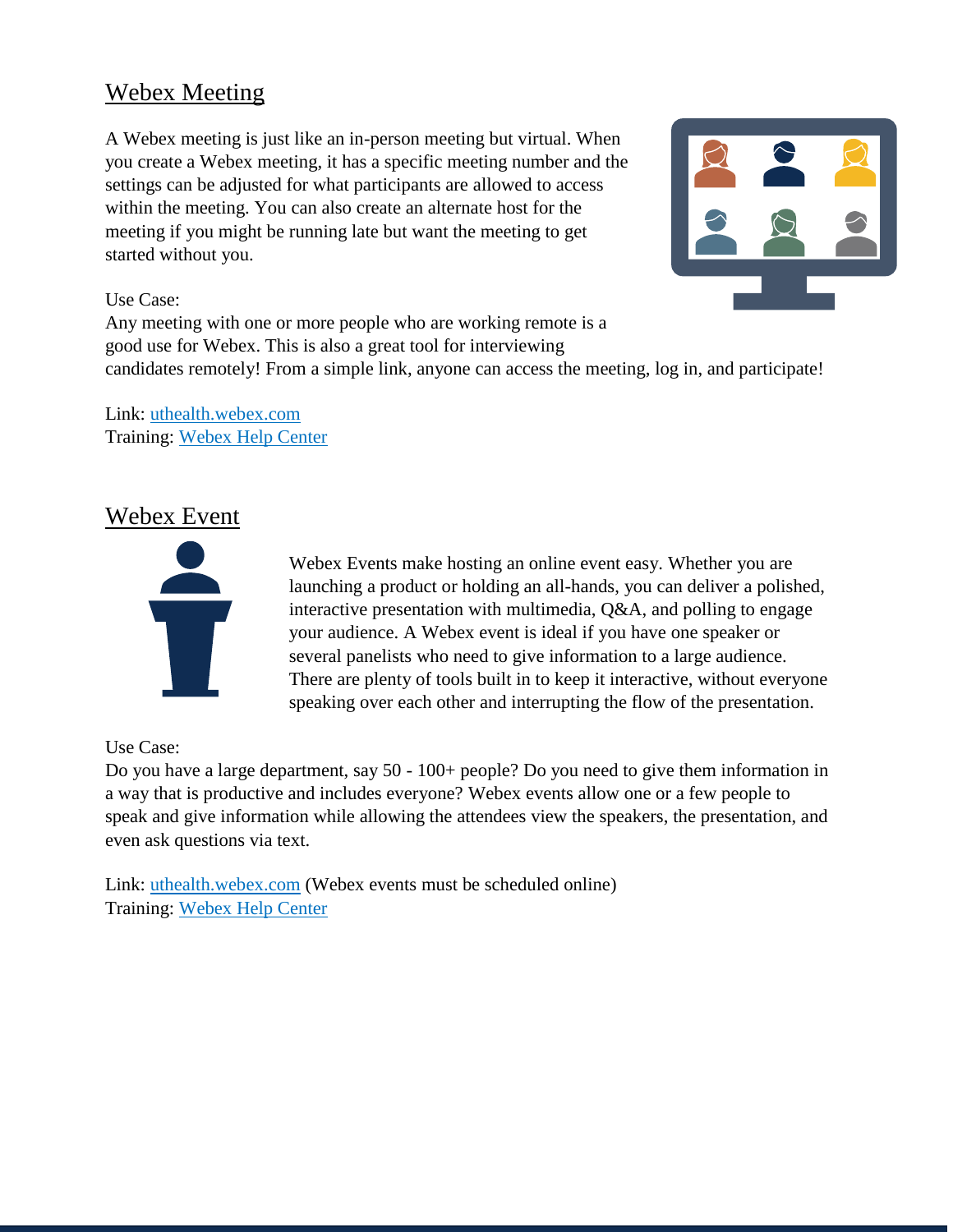#### <span id="page-22-0"></span>Webex Meeting

A Webex meeting is just like an in-person meeting but virtual. When you create a Webex meeting, it has a specific meeting number and the settings can be adjusted for what participants are allowed to access within the meeting. You can also create an alternate host for the meeting if you might be running late but want the meeting to get started without you.



#### Use Case:

Any meeting with one or more people who are working remote is a good use for Webex. This is also a great tool for interviewing candidates remotely! From a simple link, anyone can access the meeting, log in, and participate!

Link: [uthealth.webex.com](http://uthealth.webex.com/) Training: [Webex Help Center](https://help.webex.com/en-us/)

#### <span id="page-22-1"></span>Webex Event



Webex Events make hosting an online event easy. Whether you are launching a product or holding an all-hands, you can deliver a polished, interactive presentation with multimedia, Q&A, and polling to engage your audience. A Webex event is ideal if you have one speaker or several panelists who need to give information to a large audience. There are plenty of tools built in to keep it interactive, without everyone speaking over each other and interrupting the flow of the presentation.

#### Use Case:

Do you have a large department, say 50 - 100+ people? Do you need to give them information in a way that is productive and includes everyone? Webex events allow one or a few people to speak and give information while allowing the attendees view the speakers, the presentation, and even ask questions via text.

Link: [uthealth.webex.com](http://uthealth.webex.com/) (Webex events must be scheduled online) Training: [Webex Help Center](https://help.webex.com/ld-7srxjs-CiscoWebexEvents/Webex-Events#Get-Started)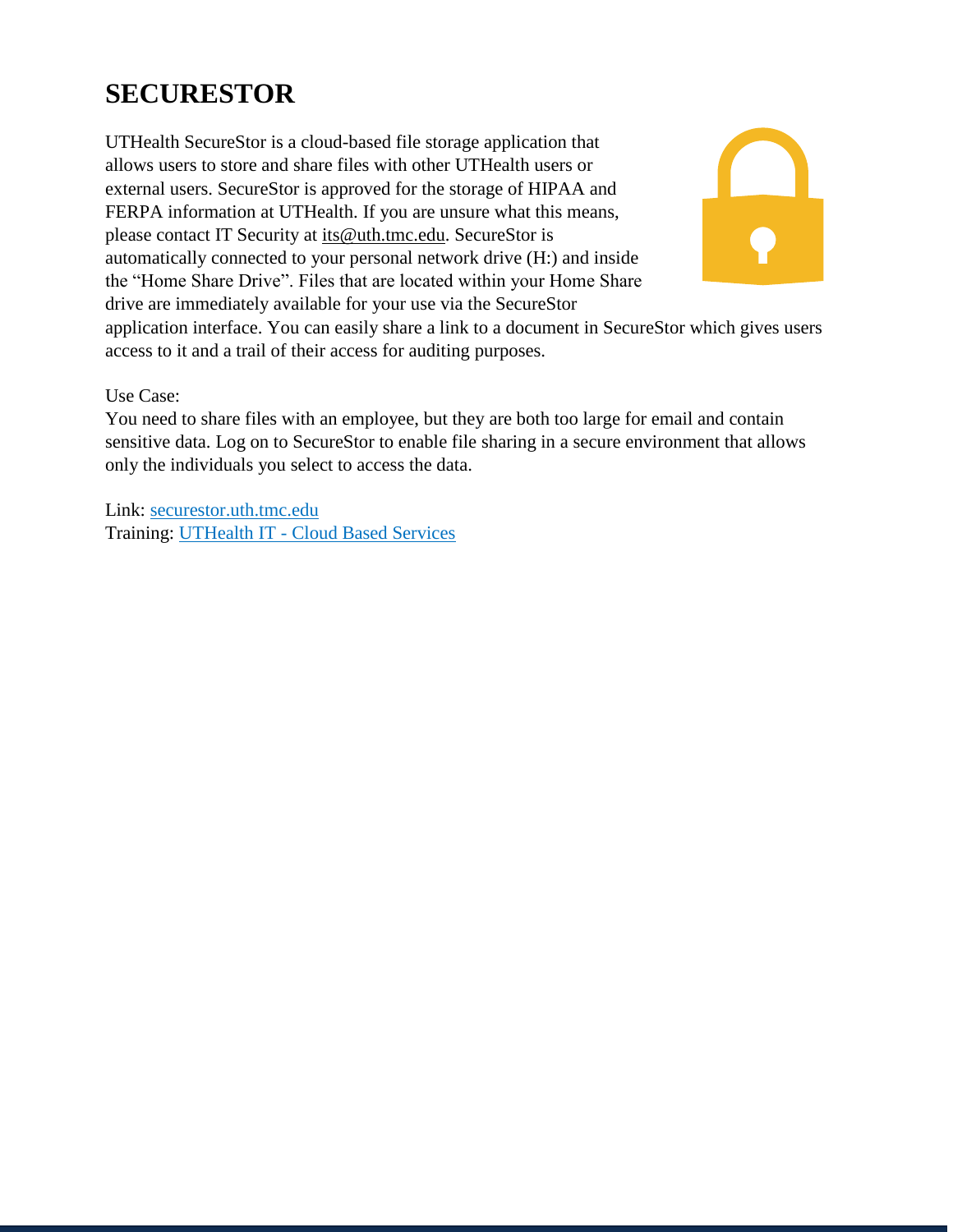# <span id="page-23-0"></span>**SECURESTOR**

UTHealth SecureStor is a cloud-based file storage application that allows users to store and share files with other UTHealth users or external users. SecureStor is approved for the storage of HIPAA and FERPA information at UTHealth. If you are unsure what this means, please contact IT Security at [its@uth.tmc.edu.](mailto:its@uth.tmc.edu) SecureStor is automatically connected to your personal network drive (H:) and inside the "Home Share Drive". Files that are located within your Home Share drive are immediately available for your use via the SecureStor



application interface. You can easily share a link to a document in SecureStor which gives users access to it and a trail of their access for auditing purposes.

Use Case:

You need to share files with an employee, but they are both too large for email and contain sensitive data. Log on to SecureStor to enable file sharing in a secure environment that allows only the individuals you select to access the data.

Link: [securestor.uth.tmc.edu](https://securestor.uth.tmc.edu/) Training: UTHealth IT - [Cloud Based Services](https://inside.uth.edu/it-training/Cloudbasedservices.htm)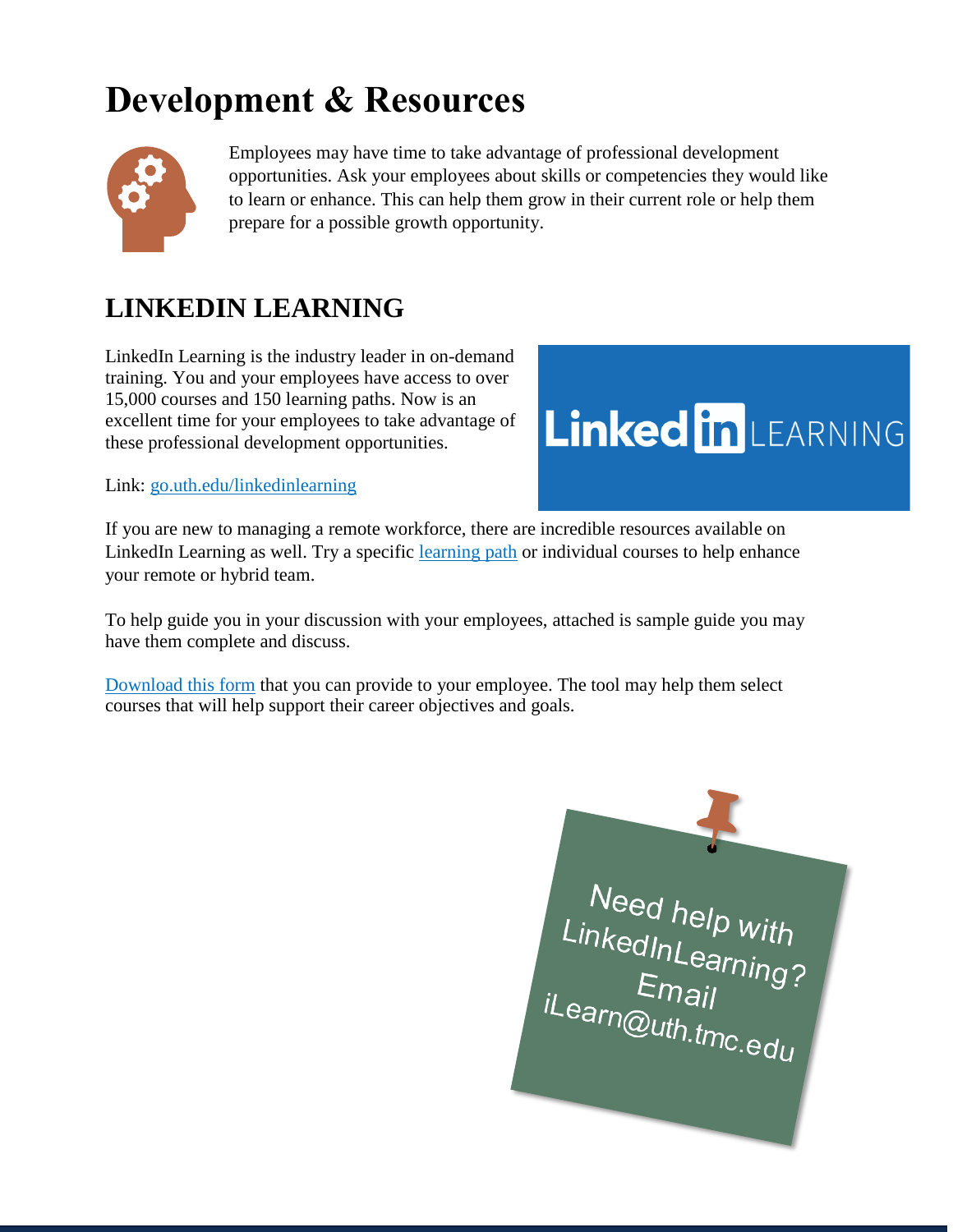# <span id="page-24-0"></span>**Development & Resources**



Employees may have time to take advantage of professional development opportunities. Ask your employees about skills or competencies they would like to learn or enhance. This can help them grow in their current role or help them prepare for a possible growth opportunity.

# <span id="page-24-1"></span>**LINKEDIN LEARNING**

LinkedIn Learning is the industry leader in on-demand training. You and your employees have access to over 15,000 courses and 150 learning paths. Now is an excellent time for your employees to take advantage of these professional development opportunities.



Link: [go.uth.edu/linkedinlearning](http://go.uth.edu/linkedinlearning)

If you are new to managing a remote workforce, there are incredible resources available on LinkedIn Learning as well. Try a specific [learning path](https://www.linkedin.com/learning/paths/remote-working-setting-yourself-and-your-teams-up-for-success?u=76310042) or individual courses to help enhance your remote or hybrid team.

To help guide you in your discussion with your employees, attached is sample guide you may have them complete and discuss.

[Download this form](https://inside.uth.edu/hr/manager-resources/manager-toolkit/Sample%2BLearning%2BPlan.xlsx) that you can provide to your employee. The tool may help them select courses that will help support their career objectives and goals.

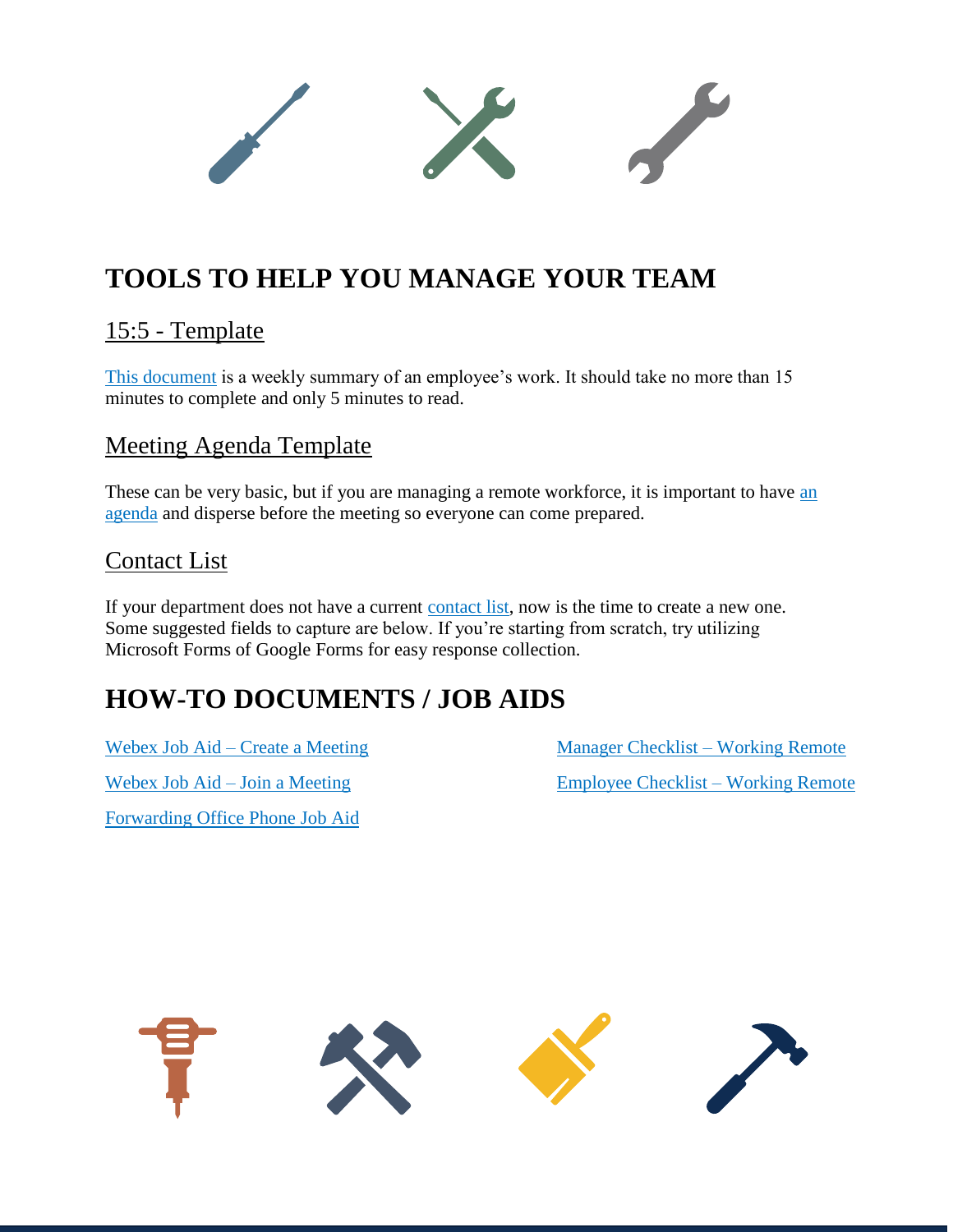# <span id="page-25-0"></span>**TOOLS TO HELP YOU MANAGE YOUR TEAM**

#### <span id="page-25-1"></span>15:5 - Template

[This document](https://inside.uth.edu/hr/manager-resources/manager-toolkit/5-15%2BReport.pdf) is a weekly summary of an employee's work. It should take no more than 15 minutes to complete and only 5 minutes to read.

#### <span id="page-25-2"></span>Meeting Agenda Template

These can be very basic, but if you are managing a remote workforce, it is important to have an [agenda](https://inside.uth.edu/hr/manager-resources/manager-toolkit/Meeting%2BAgenda%2BTemplate.docx) and disperse before the meeting so everyone can come prepared.

#### <span id="page-25-3"></span>Contact List

If your department does not have a current [contact list,](https://inside.uth.edu/hr/manager-resources/manager-toolkit/Dept.%2BContact%2BList%2BTemplate.xlsx) now is the time to create a new one. Some suggested fields to capture are below. If you're starting from scratch, try utilizing Microsoft Forms of Google Forms for easy response collection.

# <span id="page-25-4"></span>**HOW-TO DOCUMENTS / JOB AIDS**

Webex Job Aid – [Create a Meeting](https://inside.uth.edu/hr/manager-resources/manager-toolkit/1%2BHow%2Bto%2BCreate%2Ba%2BWebex%2BMeeting.pdf)

[Webex Job Aid –](https://inside.uth.edu/hr/manager-resources/manager-toolkit/2%2BHow%2Bto%2BJoin%2Ba%2BWebex%2BMeeting.pdf) Join a Meeting

[Forwarding Office Phone Job Aid](https://inside.uth.edu/hr/manager-resources/manager-toolkit/3%2BHow%2Bto%2BForward%2Byour%2BPhone.pdf)

[Manager Checklist –](https://www.uth.edu/dotAsset/7b569164-7e39-40d6-ad07-2bc0b97e66fe) Working Remote [Employee Checklist –](https://www.uth.edu/dotAsset/94accf24-28fa-4e04-9852-89fca146a502) Working Remote

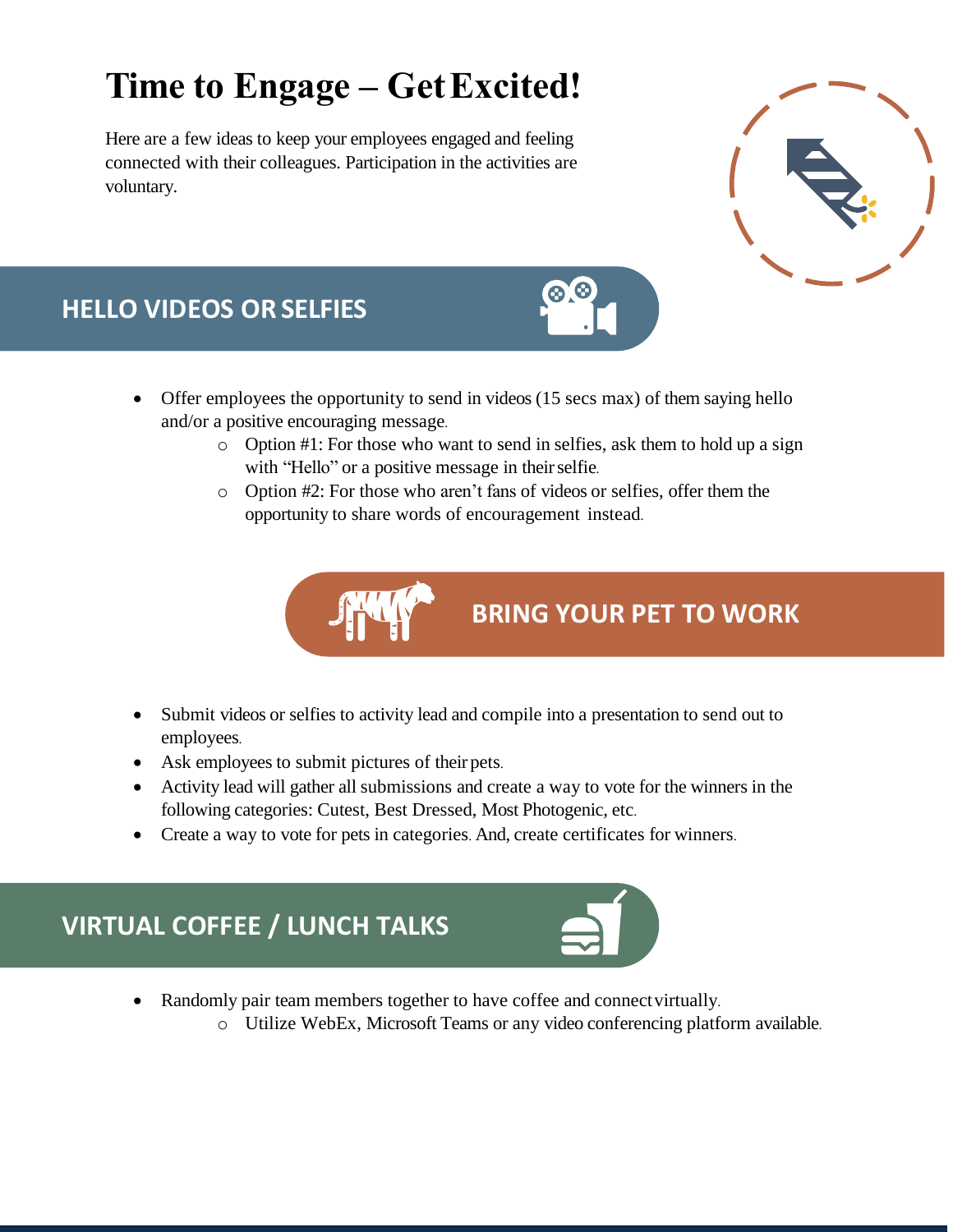# <span id="page-26-0"></span>**Time to Engage – GetExcited!**

Here are a few ideas to keep your employees engaged and feeling connected with their colleagues. Participation in the activities are voluntary.



# **HELLO VIDEOS OR SELFIES**

- Offer employees the opportunity to send in videos (15 secs max) of them saying hello and/or a positive encouraging message.
	- o Option #1: For those who want to send in selfies, ask them to hold up a sign with "Hello" or a positive message in their selfie.
	- o Option #2: For those who aren't fans of videos or selfies, offer them the opportunity to share words of encouragement instead.

**BRING YOUR PET TO WORK**

- Submit videos or selfies to activity lead and compile into a presentation to send out to employees.
- Ask employees to submit pictures of their pets.
- Activity lead will gather all submissions and create a way to vote for the winners in the following categories: Cutest, Best Dressed, Most Photogenic, etc.
- Create a way to vote for pets in categories. And, create certificates for winners.



- Randomly pair team members together to have coffee and connect virtually.
	- o Utilize WebEx, Microsoft Teams or any video conferencing platform available.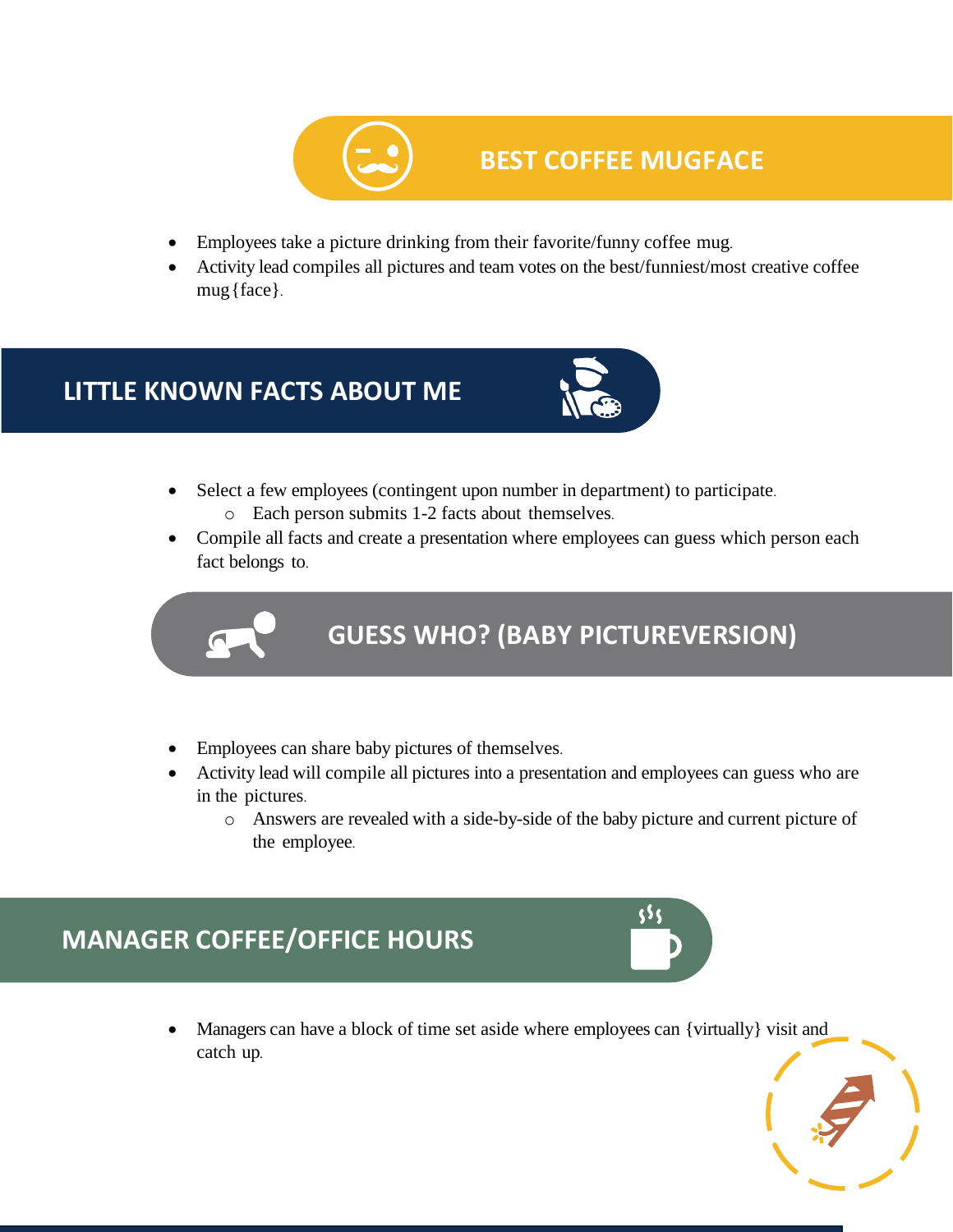

### **BEST COFFEE MUGFACE**

- Employees take a picture drinking from their favorite/funny coffee mug.
- Activity lead compiles all pictures and team votes on the best/funniest/most creative coffee mug{face}.

## **LITTLE KNOWN FACTS ABOUT ME**



- Select a few employees (contingent upon number in department) to participate. o Each person submits 1-2 facts about themselves.
- Compile all facts and create a presentation where employees can guess which person each fact belongs to.



# **GUESS WHO? (BABY PICTUREVERSION)**

- Employees can share baby pictures of themselves.
- Activity lead will compile all pictures into a presentation and employees can guess who are in the pictures.
	- o Answers are revealed with a side-by-side of the baby picture and current picture of the employee.

# **MANAGER COFFEE/OFFICE HOURS**

• Managers can have a block of time set aside where employees can {virtually} visit and catch up.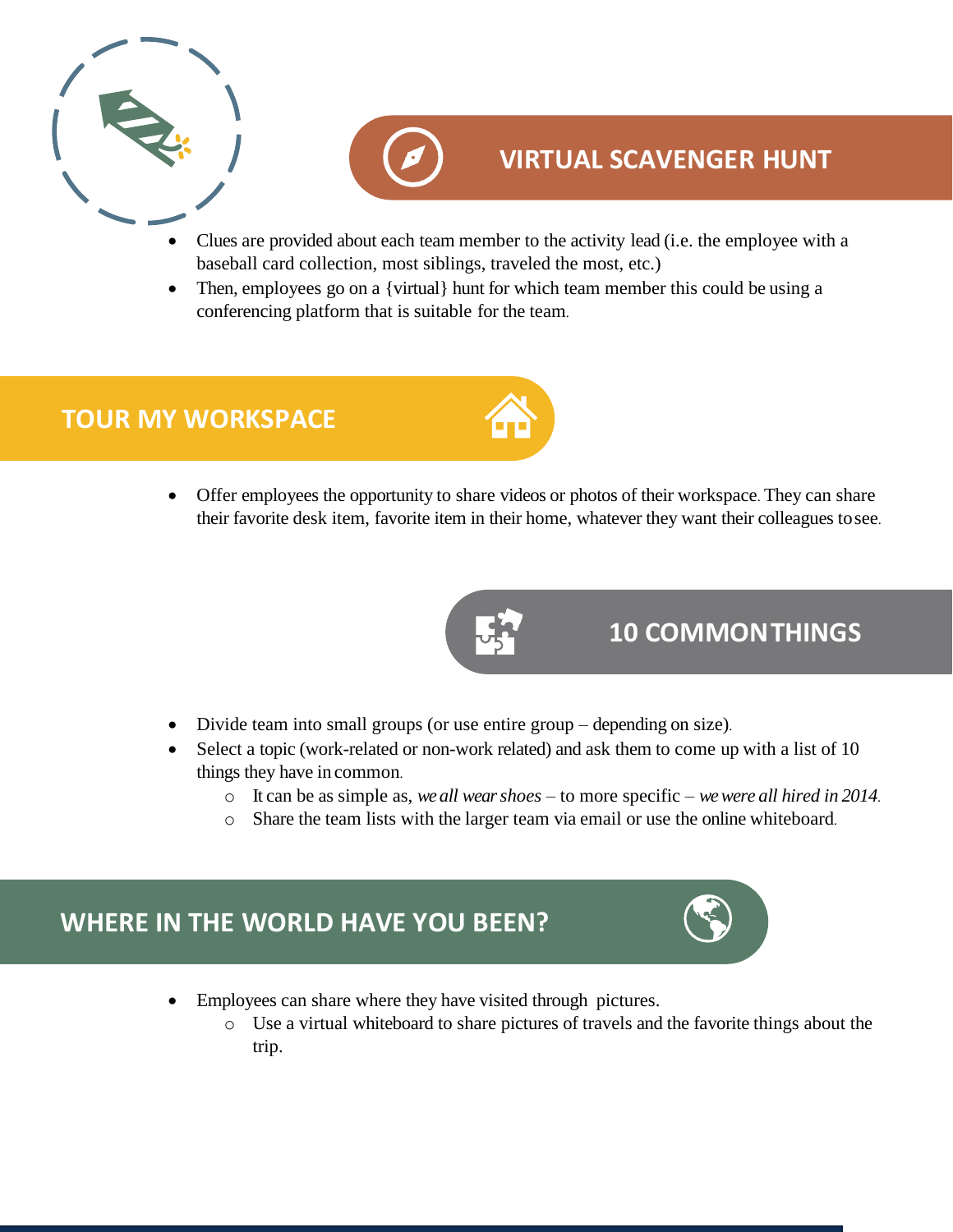| $\overline{\phantom{a}}$ |
|--------------------------|
|                          |



### **VIRTUAL SCAVENGER HUNT**

- Clues are provided about each team member to the activity lead (i.e. the employee with a baseball card collection, most siblings, traveled the most, etc.)
- Then, employees go on a {virtual} hunt for which team member this could be using a conferencing platform that is suitable for the team.



• Offer employees the opportunity to share videos or photos of their workspace. They can share their favorite desk item, favorite item in their home, whatever they want their colleagues tosee.



## **10 COMMONTHINGS**

- Divide team into small groups (or use entire group depending on size).
- Select a topic (work-related or non-work related) and ask them to come up with a list of 10 things they have in common.
	- o It can be as simple as, *we all wear shoes*  to more specific *we were all hired in 2014*.
	- o Share the team lists with the larger team via email or use the online whiteboard.

## **WHERE IN THE WORLD HAVE YOU BEEN?**

- Employees can share where they have visited through pictures.
	- o Use a virtual whiteboard to share pictures of travels and the favorite things about the trip.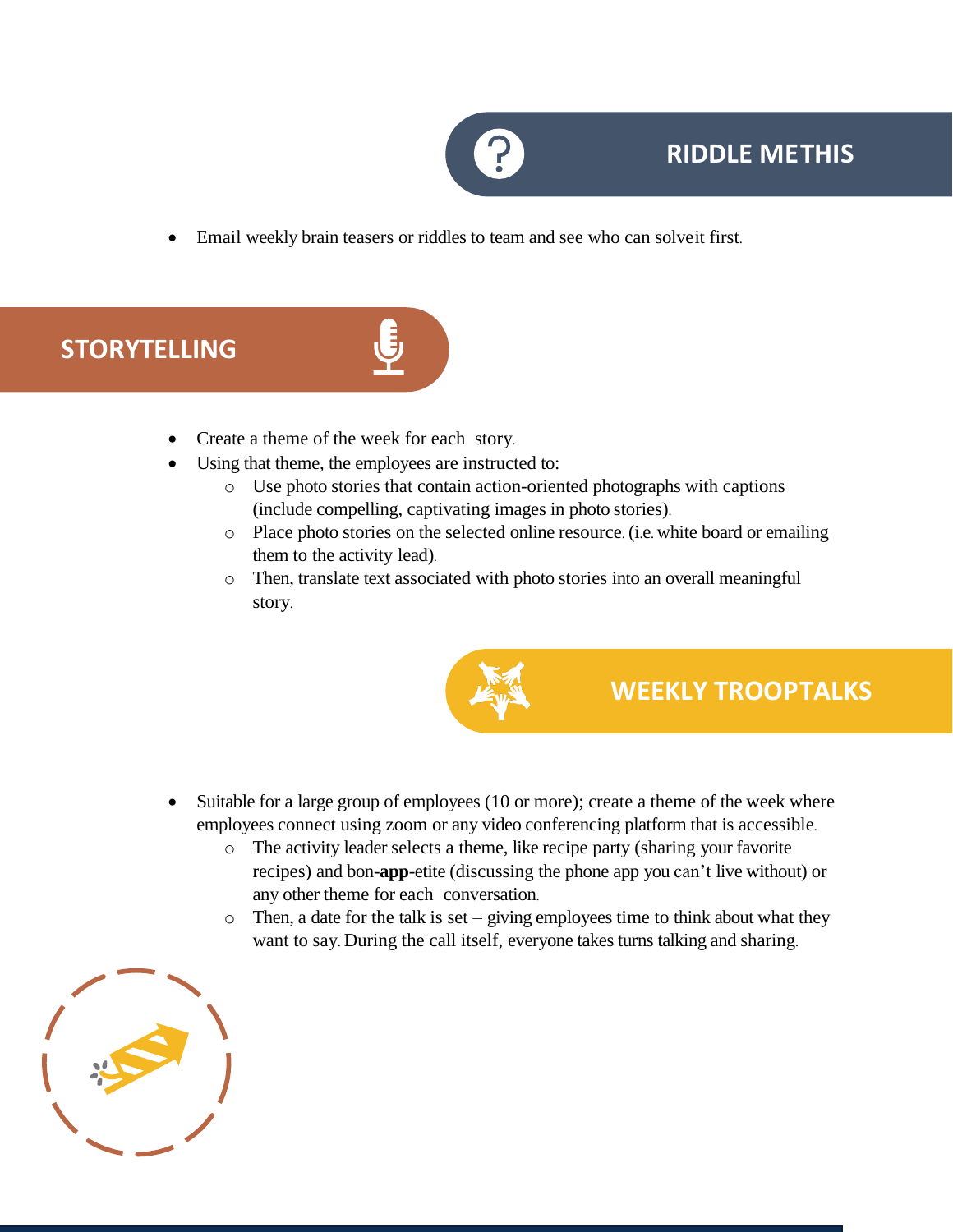

### **RIDDLE METHIS**

• Email weekly brain teasers or riddles to team and see who can solveit first.

## **STORYTELLING**



- Create a theme of the week for each story.
- Using that theme, the employees are instructed to:
	- o Use photo stories that contain action-oriented photographs with captions (include compelling, captivating images in photo stories).
	- o Place photo stories on the selected online resource. (i.e. white board or emailing them to the activity lead).
	- o Then, translate text associated with photo stories into an overall meaningful story.



### **WEEKLY TROOPTALKS**

- Suitable for a large group of employees (10 or more); create a theme of the week where employees connect using zoom or any video conferencing platform that is accessible.
	- o The activity leader selects a theme, like recipe party (sharing your favorite recipes) and bon-**app**-etite (discussing the phone app you can't live without) or any other theme for each conversation.
	- $\circ$  Then, a date for the talk is set giving employees time to think about what they want to say. During the call itself, everyone takes turns talking and sharing.

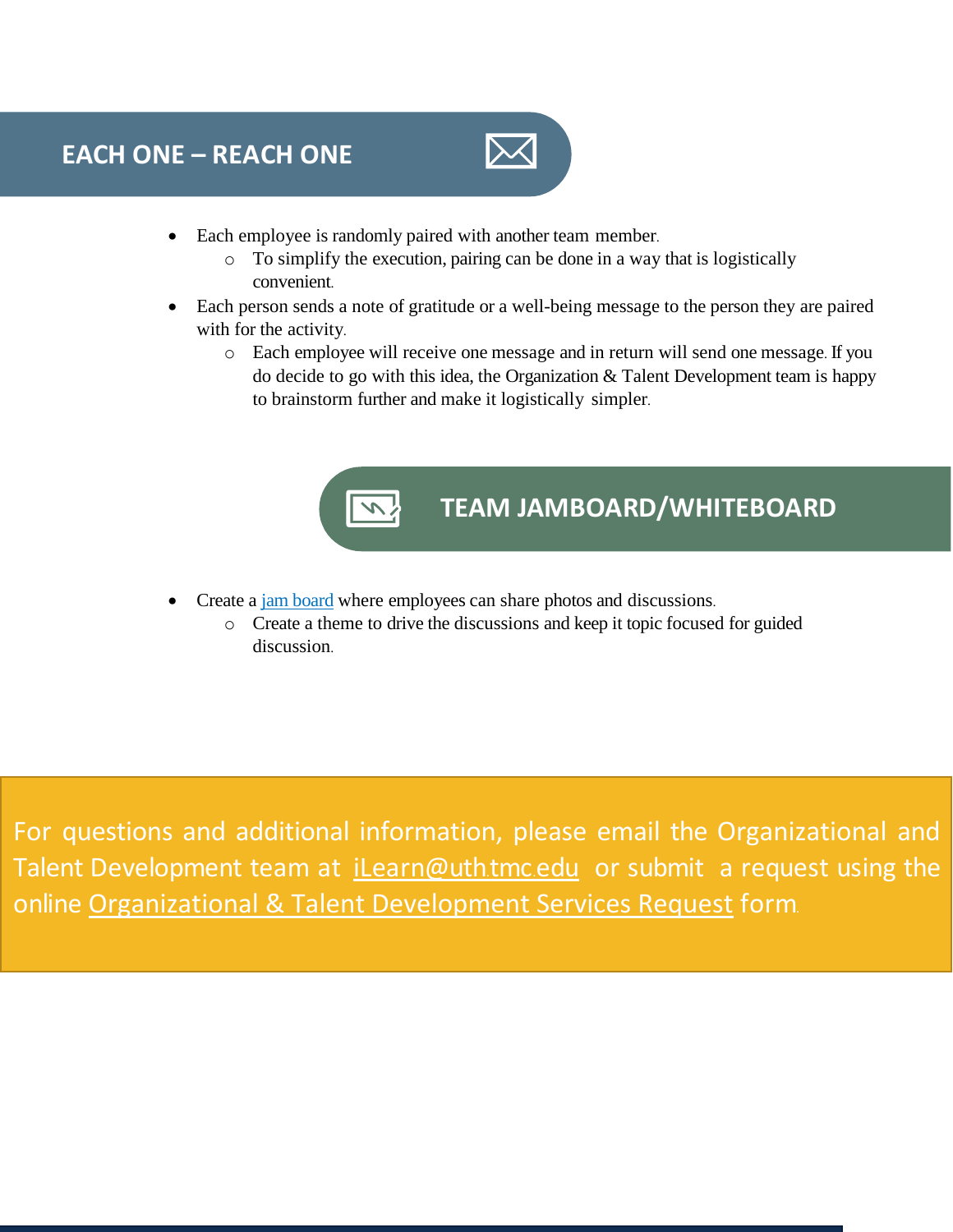

- Each employee is randomly paired with another team member.
	- o To simplify the execution, pairing can be done in a way that is logistically convenient.
- Each person sends a note of gratitude or a well-being message to the person they are paired with for the activity.
	- o Each employee will receive one message and in return will send one message. If you do decide to go with this idea, the Organization & Talent Development team is happy to brainstorm further and make it logistically simpler.



**TEAM JAMBOARD/WHITEBOARD**

- Create a [jam board](https://jamboard.google.com/) where employees can share photos and discussions.
	- o Create a theme to drive the discussions and keep it topic focused for guided discussion.

For questions and additional information, please email the Organizational and Talent Development team at *[iLearn@uth](mailto:iLearn@uth.tmc.edu).tmc.edu* or submit a request using the online [Organizational & Talent Development Services Request](https://uthtmc.az1.qualtrics.com/jfe/form/SV_5o1koWRPxWFlQ21) form.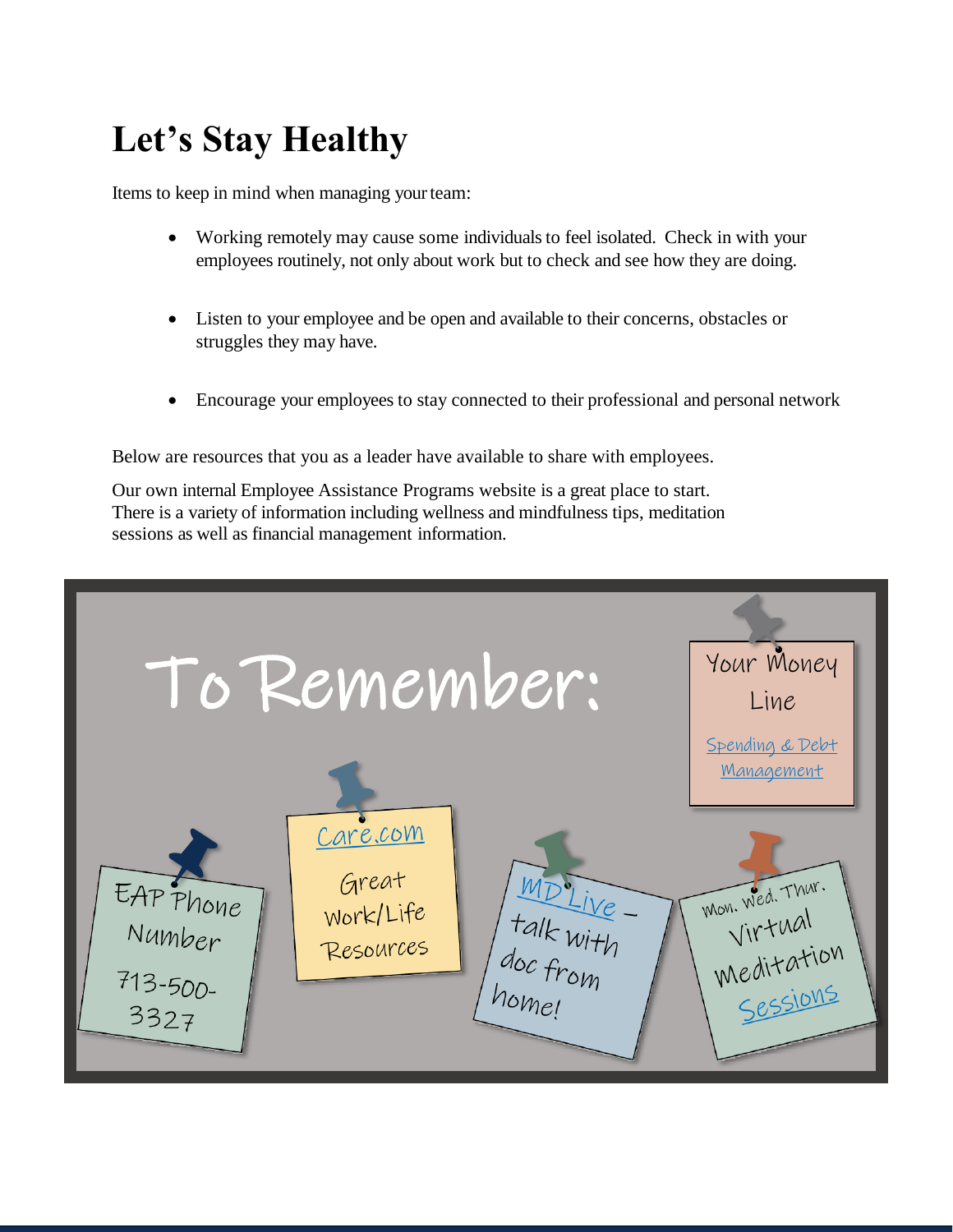# <span id="page-31-0"></span>**Let's Stay Healthy**

Items to keep in mind when managing yourteam:

- Working remotely may cause some individuals to feel isolated. Check in with your employees routinely, not only about work but to check and see how they are doing.
- Listen to your employee and be open and available to their concerns, obstacles or struggles they may have.
- Encourage your employees to stay connected to their professional and personal network

Below are resources that you as a leader have available to share with employees.

Our own internal Employee Assistance Programs website is a great place to start. There is a variety of information including wellness and mindfulness tips, meditation sessions as well as financial management information.